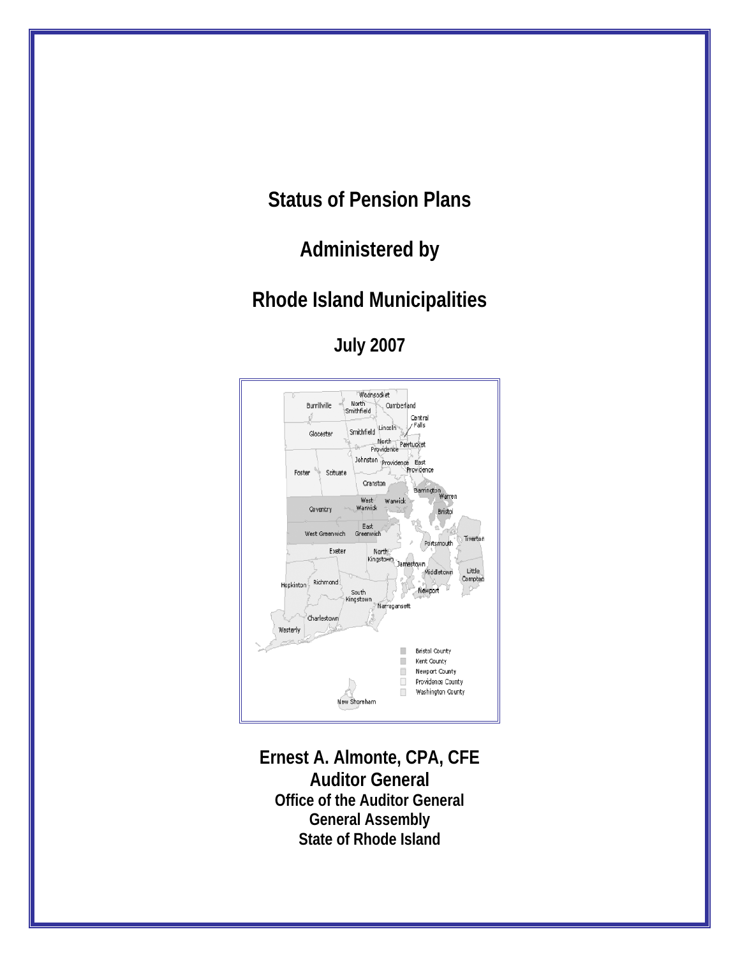**Status of Pension Plans** 

**Administered by** 

## **Rhode Island Municipalities**

**July 2007** 



**Ernest A. Almonte, CPA, CFE Auditor General Office of the Auditor General General Assembly State of Rhode Island**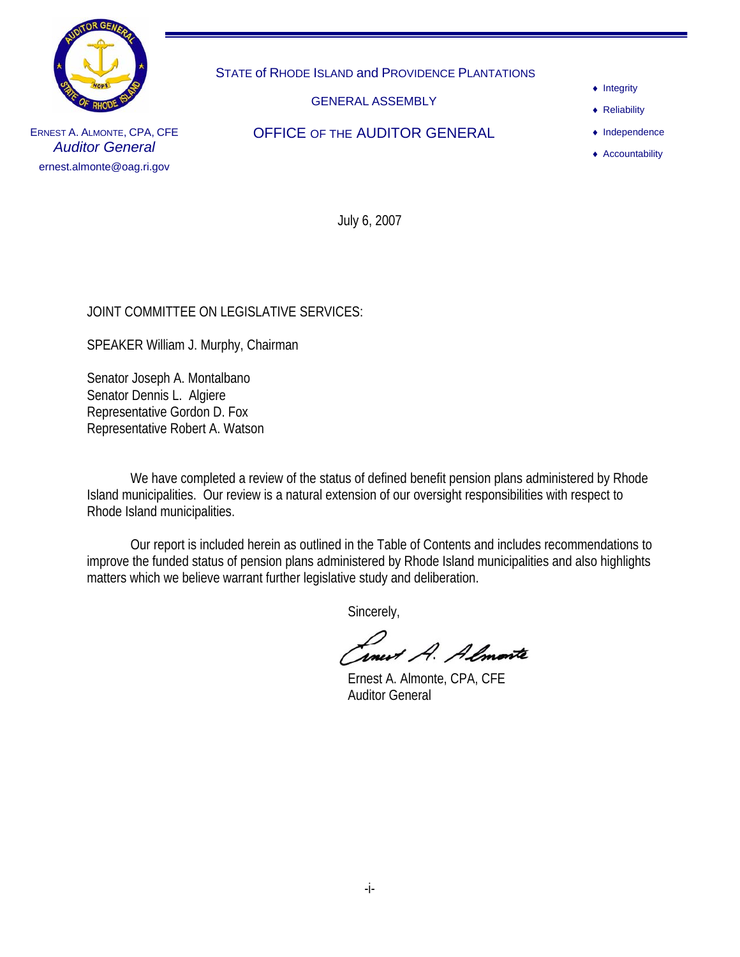

STATE of RHODE ISLAND and PROVIDENCE PLANTATIONS

GENERAL ASSEMBLY

OFFICE OF THE AUDITOR GENERAL

- ♦ Integrity
- ♦ Reliability

♦ Independence

♦ Accountability

ERNEST A. ALMONTE, CPA, CFE *Auditor General*  ernest.almonte@oag.ri.gov

July 6, 2007

#### JOINT COMMITTEE ON LEGISLATIVE SERVICES:

SPEAKER William J. Murphy, Chairman

Senator Joseph A. Montalbano Senator Dennis L. Algiere Representative Gordon D. Fox Representative Robert A. Watson

 We have completed a review of the status of defined benefit pension plans administered by Rhode Island municipalities. Our review is a natural extension of our oversight responsibilities with respect to Rhode Island municipalities.

 Our report is included herein as outlined in the Table of Contents and includes recommendations to improve the funded status of pension plans administered by Rhode Island municipalities and also highlights matters which we believe warrant further legislative study and deliberation.

Sincerely,

*Inest A. Almonte*<br>Ernest A. Almonte, CPA, CFE

Auditor General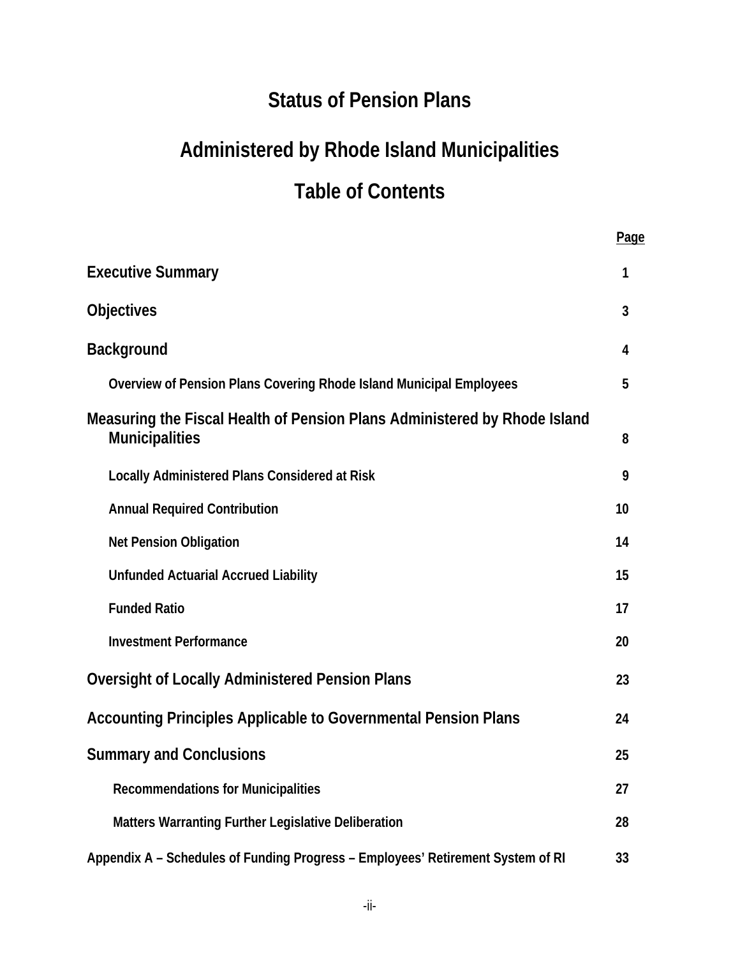# **Status of Pension Plans**

# **Administered by Rhode Island Municipalities Table of Contents**

|                                                                                                    | Page |
|----------------------------------------------------------------------------------------------------|------|
| <b>Executive Summary</b>                                                                           | 1    |
| <b>Objectives</b>                                                                                  | 3    |
| <b>Background</b>                                                                                  | 4    |
| Overview of Pension Plans Covering Rhode Island Municipal Employees                                | 5    |
| Measuring the Fiscal Health of Pension Plans Administered by Rhode Island<br><b>Municipalities</b> | 8    |
| <b>Locally Administered Plans Considered at Risk</b>                                               | 9    |
| <b>Annual Required Contribution</b>                                                                | 10   |
| <b>Net Pension Obligation</b>                                                                      | 14   |
| <b>Unfunded Actuarial Accrued Liability</b>                                                        | 15   |
| <b>Funded Ratio</b>                                                                                | 17   |
| <b>Investment Performance</b>                                                                      | 20   |
| <b>Oversight of Locally Administered Pension Plans</b>                                             | 23   |
| Accounting Principles Applicable to Governmental Pension Plans                                     | 24   |
| <b>Summary and Conclusions</b>                                                                     | 25   |
| <b>Recommendations for Municipalities</b>                                                          | 27   |
| Matters Warranting Further Legislative Deliberation                                                | 28   |
| Appendix A - Schedules of Funding Progress - Employees' Retirement System of RI                    | 33   |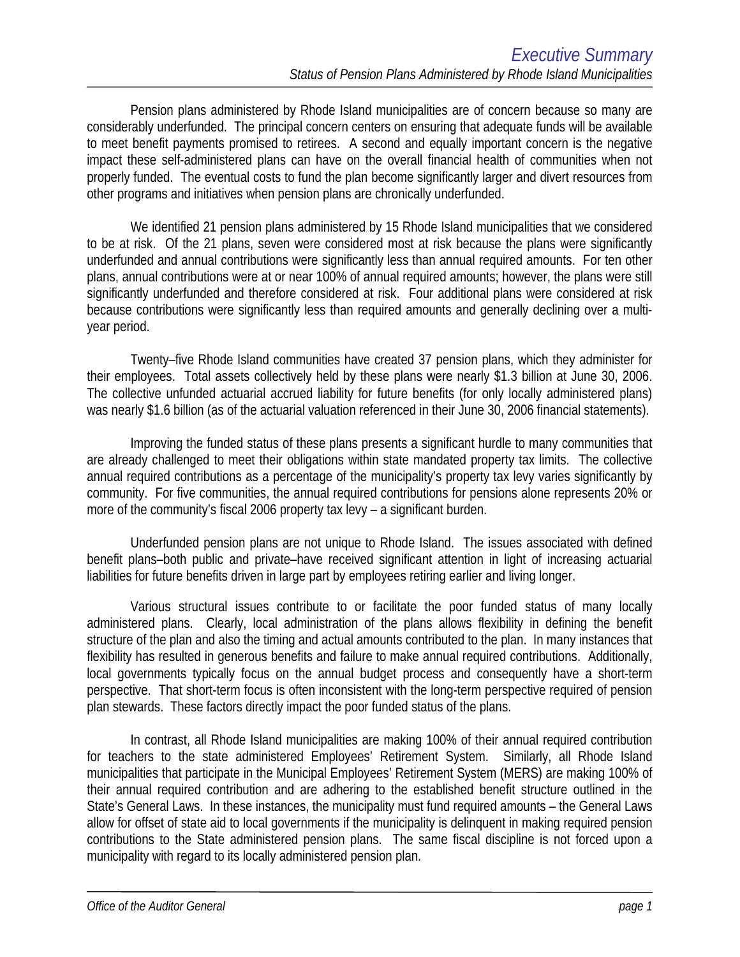Pension plans administered by Rhode Island municipalities are of concern because so many are considerably underfunded. The principal concern centers on ensuring that adequate funds will be available to meet benefit payments promised to retirees. A second and equally important concern is the negative impact these self-administered plans can have on the overall financial health of communities when not properly funded. The eventual costs to fund the plan become significantly larger and divert resources from other programs and initiatives when pension plans are chronically underfunded.

 We identified 21 pension plans administered by 15 Rhode Island municipalities that we considered to be at risk. Of the 21 plans, seven were considered most at risk because the plans were significantly underfunded and annual contributions were significantly less than annual required amounts. For ten other plans, annual contributions were at or near 100% of annual required amounts; however, the plans were still significantly underfunded and therefore considered at risk. Four additional plans were considered at risk because contributions were significantly less than required amounts and generally declining over a multiyear period.

 Twenty–five Rhode Island communities have created 37 pension plans, which they administer for their employees. Total assets collectively held by these plans were nearly \$1.3 billion at June 30, 2006. The collective unfunded actuarial accrued liability for future benefits (for only locally administered plans) was nearly \$1.6 billion (as of the actuarial valuation referenced in their June 30, 2006 financial statements).

 Improving the funded status of these plans presents a significant hurdle to many communities that are already challenged to meet their obligations within state mandated property tax limits. The collective annual required contributions as a percentage of the municipality's property tax levy varies significantly by community. For five communities, the annual required contributions for pensions alone represents 20% or more of the community's fiscal 2006 property tax levy – a significant burden.

 Underfunded pension plans are not unique to Rhode Island. The issues associated with defined benefit plans–both public and private–have received significant attention in light of increasing actuarial liabilities for future benefits driven in large part by employees retiring earlier and living longer.

 Various structural issues contribute to or facilitate the poor funded status of many locally administered plans. Clearly, local administration of the plans allows flexibility in defining the benefit structure of the plan and also the timing and actual amounts contributed to the plan. In many instances that flexibility has resulted in generous benefits and failure to make annual required contributions. Additionally, local governments typically focus on the annual budget process and consequently have a short-term perspective. That short-term focus is often inconsistent with the long-term perspective required of pension plan stewards. These factors directly impact the poor funded status of the plans.

 In contrast, all Rhode Island municipalities are making 100% of their annual required contribution for teachers to the state administered Employees' Retirement System. Similarly, all Rhode Island municipalities that participate in the Municipal Employees' Retirement System (MERS) are making 100% of their annual required contribution and are adhering to the established benefit structure outlined in the State's General Laws. In these instances, the municipality must fund required amounts – the General Laws allow for offset of state aid to local governments if the municipality is delinquent in making required pension contributions to the State administered pension plans. The same fiscal discipline is not forced upon a municipality with regard to its locally administered pension plan.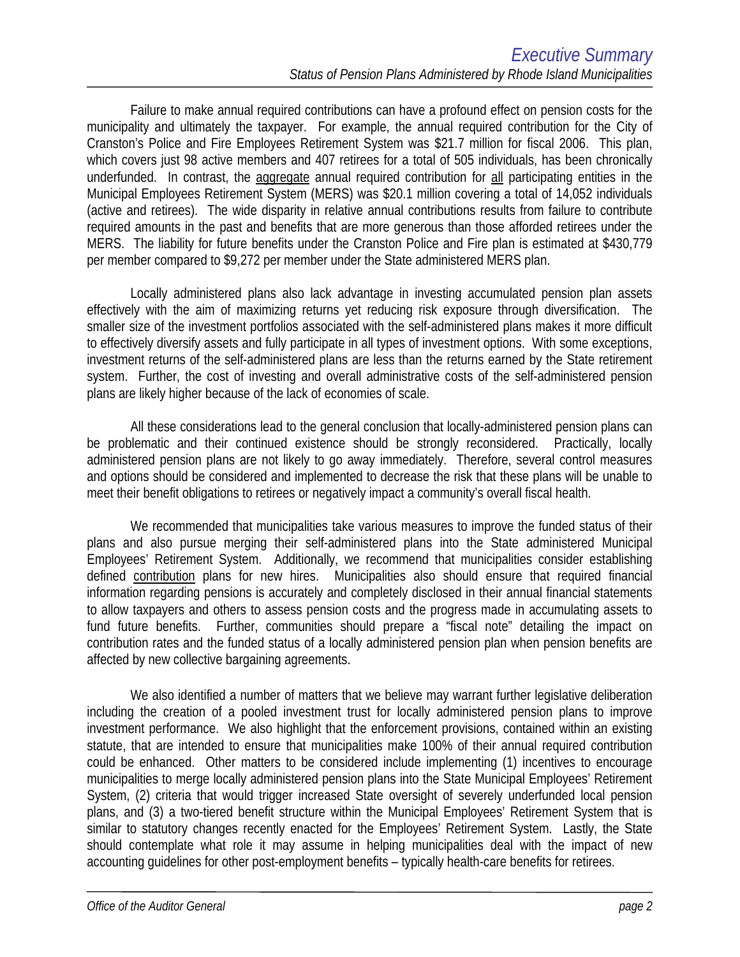Failure to make annual required contributions can have a profound effect on pension costs for the municipality and ultimately the taxpayer. For example, the annual required contribution for the City of Cranston's Police and Fire Employees Retirement System was \$21.7 million for fiscal 2006. This plan, which covers just 98 active members and 407 retirees for a total of 505 individuals, has been chronically underfunded. In contrast, the aggregate annual required contribution for all participating entities in the Municipal Employees Retirement System (MERS) was \$20.1 million covering a total of 14,052 individuals (active and retirees). The wide disparity in relative annual contributions results from failure to contribute required amounts in the past and benefits that are more generous than those afforded retirees under the MERS. The liability for future benefits under the Cranston Police and Fire plan is estimated at \$430,779 per member compared to \$9,272 per member under the State administered MERS plan.

 Locally administered plans also lack advantage in investing accumulated pension plan assets effectively with the aim of maximizing returns yet reducing risk exposure through diversification. The smaller size of the investment portfolios associated with the self-administered plans makes it more difficult to effectively diversify assets and fully participate in all types of investment options. With some exceptions, investment returns of the self-administered plans are less than the returns earned by the State retirement system. Further, the cost of investing and overall administrative costs of the self-administered pension plans are likely higher because of the lack of economies of scale.

 All these considerations lead to the general conclusion that locally-administered pension plans can be problematic and their continued existence should be strongly reconsidered. Practically, locally administered pension plans are not likely to go away immediately. Therefore, several control measures and options should be considered and implemented to decrease the risk that these plans will be unable to meet their benefit obligations to retirees or negatively impact a community's overall fiscal health.

 We recommended that municipalities take various measures to improve the funded status of their plans and also pursue merging their self-administered plans into the State administered Municipal Employees' Retirement System. Additionally, we recommend that municipalities consider establishing defined contribution plans for new hires. Municipalities also should ensure that required financial information regarding pensions is accurately and completely disclosed in their annual financial statements to allow taxpayers and others to assess pension costs and the progress made in accumulating assets to fund future benefits. Further, communities should prepare a "fiscal note" detailing the impact on contribution rates and the funded status of a locally administered pension plan when pension benefits are affected by new collective bargaining agreements.

We also identified a number of matters that we believe may warrant further legislative deliberation including the creation of a pooled investment trust for locally administered pension plans to improve investment performance. We also highlight that the enforcement provisions, contained within an existing statute, that are intended to ensure that municipalities make 100% of their annual required contribution could be enhanced. Other matters to be considered include implementing (1) incentives to encourage municipalities to merge locally administered pension plans into the State Municipal Employees' Retirement System, (2) criteria that would trigger increased State oversight of severely underfunded local pension plans, and (3) a two-tiered benefit structure within the Municipal Employees' Retirement System that is similar to statutory changes recently enacted for the Employees' Retirement System. Lastly, the State should contemplate what role it may assume in helping municipalities deal with the impact of new accounting guidelines for other post-employment benefits – typically health-care benefits for retirees.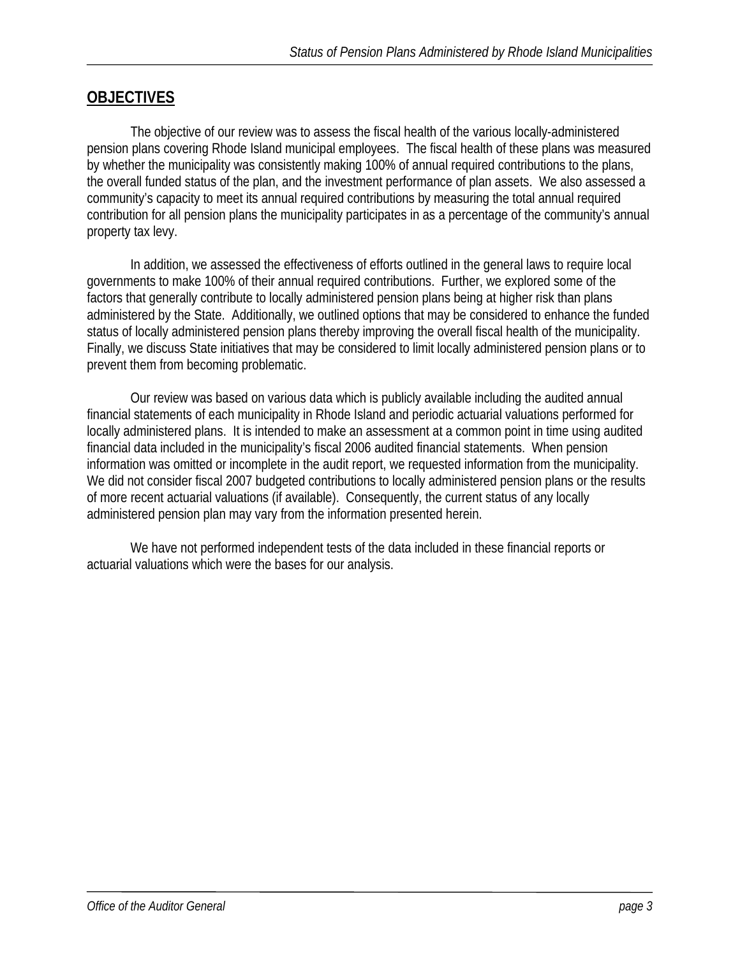## **OBJECTIVES**

The objective of our review was to assess the fiscal health of the various locally-administered pension plans covering Rhode Island municipal employees. The fiscal health of these plans was measured by whether the municipality was consistently making 100% of annual required contributions to the plans, the overall funded status of the plan, and the investment performance of plan assets. We also assessed a community's capacity to meet its annual required contributions by measuring the total annual required contribution for all pension plans the municipality participates in as a percentage of the community's annual property tax levy.

In addition, we assessed the effectiveness of efforts outlined in the general laws to require local governments to make 100% of their annual required contributions. Further, we explored some of the factors that generally contribute to locally administered pension plans being at higher risk than plans administered by the State. Additionally, we outlined options that may be considered to enhance the funded status of locally administered pension plans thereby improving the overall fiscal health of the municipality. Finally, we discuss State initiatives that may be considered to limit locally administered pension plans or to prevent them from becoming problematic.

 Our review was based on various data which is publicly available including the audited annual financial statements of each municipality in Rhode Island and periodic actuarial valuations performed for locally administered plans. It is intended to make an assessment at a common point in time using audited financial data included in the municipality's fiscal 2006 audited financial statements. When pension information was omitted or incomplete in the audit report, we requested information from the municipality. We did not consider fiscal 2007 budgeted contributions to locally administered pension plans or the results of more recent actuarial valuations (if available). Consequently, the current status of any locally administered pension plan may vary from the information presented herein.

 We have not performed independent tests of the data included in these financial reports or actuarial valuations which were the bases for our analysis.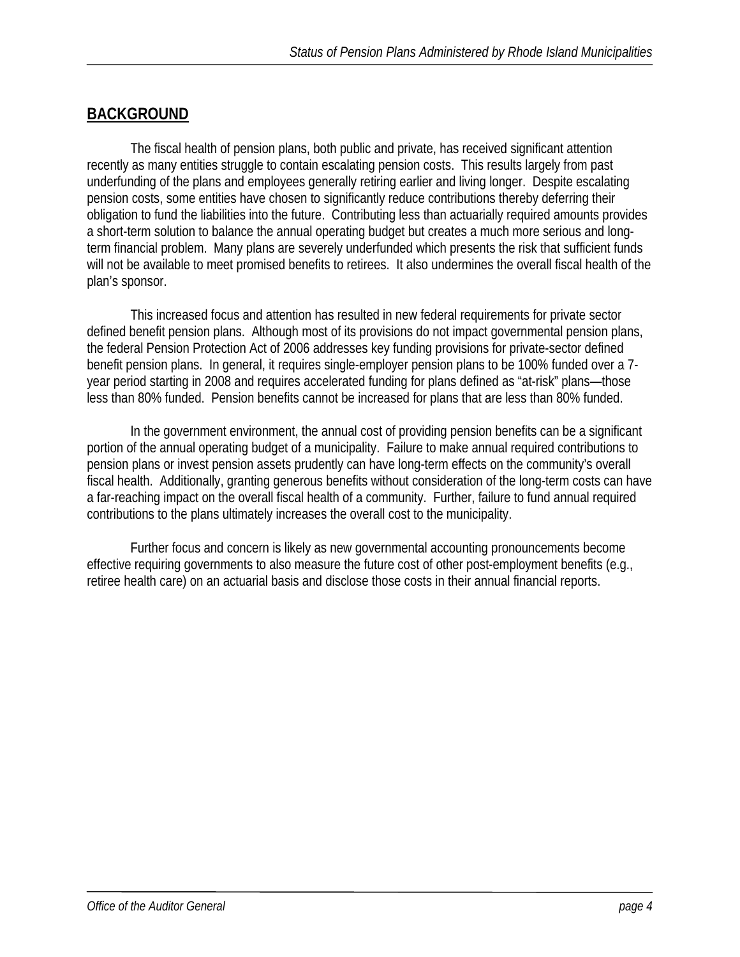## **BACKGROUND**

 The fiscal health of pension plans, both public and private, has received significant attention recently as many entities struggle to contain escalating pension costs. This results largely from past underfunding of the plans and employees generally retiring earlier and living longer. Despite escalating pension costs, some entities have chosen to significantly reduce contributions thereby deferring their obligation to fund the liabilities into the future. Contributing less than actuarially required amounts provides a short-term solution to balance the annual operating budget but creates a much more serious and longterm financial problem. Many plans are severely underfunded which presents the risk that sufficient funds will not be available to meet promised benefits to retirees. It also undermines the overall fiscal health of the plan's sponsor.

 This increased focus and attention has resulted in new federal requirements for private sector defined benefit pension plans. Although most of its provisions do not impact governmental pension plans, the federal Pension Protection Act of 2006 addresses key funding provisions for private-sector defined benefit pension plans. In general, it requires single-employer pension plans to be 100% funded over a 7 year period starting in 2008 and requires accelerated funding for plans defined as "at-risk" plans—those less than 80% funded. Pension benefits cannot be increased for plans that are less than 80% funded.

 In the government environment, the annual cost of providing pension benefits can be a significant portion of the annual operating budget of a municipality. Failure to make annual required contributions to pension plans or invest pension assets prudently can have long-term effects on the community's overall fiscal health. Additionally, granting generous benefits without consideration of the long-term costs can have a far-reaching impact on the overall fiscal health of a community. Further, failure to fund annual required contributions to the plans ultimately increases the overall cost to the municipality.

 Further focus and concern is likely as new governmental accounting pronouncements become effective requiring governments to also measure the future cost of other post-employment benefits (e.g., retiree health care) on an actuarial basis and disclose those costs in their annual financial reports.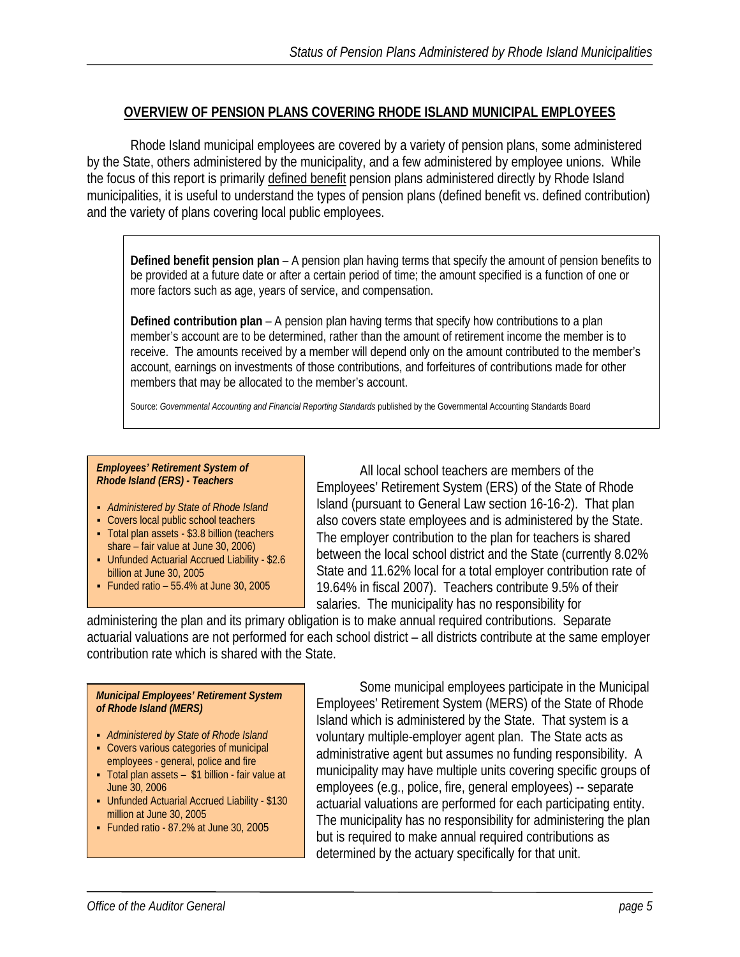## **OVERVIEW OF PENSION PLANS COVERING RHODE ISLAND MUNICIPAL EMPLOYEES**

 Rhode Island municipal employees are covered by a variety of pension plans, some administered by the State, others administered by the municipality, and a few administered by employee unions. While the focus of this report is primarily defined benefit pension plans administered directly by Rhode Island municipalities, it is useful to understand the types of pension plans (defined benefit vs. defined contribution) and the variety of plans covering local public employees.

**Defined benefit pension plan** – A pension plan having terms that specify the amount of pension benefits to be provided at a future date or after a certain period of time; the amount specified is a function of one or more factors such as age, years of service, and compensation.

**Defined contribution plan** – A pension plan having terms that specify how contributions to a plan member's account are to be determined, rather than the amount of retirement income the member is to receive. The amounts received by a member will depend only on the amount contributed to the member's account, earnings on investments of those contributions, and forfeitures of contributions made for other members that may be allocated to the member's account.

Source: Governmental Accounting and Financial Reporting Standards published by the Governmental Accounting Standards Board

#### *Employees' Retirement System of Rhode Island (ERS) - Teachers*

- *Administered by State of Rhode Island*
- Covers local public school teachers
- Total plan assets \$3.8 billion (teachers share – fair value at June 30, 2006)
- Unfunded Actuarial Accrued Liability \$2.6 billion at June 30, 2005
- Funded ratio  $-55.4\%$  at June 30, 2005

 All local school teachers are members of the Employees' Retirement System (ERS) of the State of Rhode Island (pursuant to General Law section 16-16-2). That plan also covers state employees and is administered by the State. The employer contribution to the plan for teachers is shared between the local school district and the State (currently 8.02% State and 11.62% local for a total employer contribution rate of 19.64% in fiscal 2007). Teachers contribute 9.5% of their salaries. The municipality has no responsibility for

administering the plan and its primary obligation is to make annual required contributions. Separate actuarial valuations are not performed for each school district – all districts contribute at the same employer contribution rate which is shared with the State.

#### *Municipal Employees' Retirement System of Rhode Island (MERS)*

- *Administered by State of Rhode Island*
- Covers various categories of municipal employees - general, police and fire
- Total plan assets \$1 billion fair value at June 30, 2006
- Unfunded Actuarial Accrued Liability \$130 million at June 30, 2005
- Funded ratio 87.2% at June 30, 2005

 Some municipal employees participate in the Municipal Employees' Retirement System (MERS) of the State of Rhode Island which is administered by the State. That system is a voluntary multiple-employer agent plan. The State acts as administrative agent but assumes no funding responsibility. A municipality may have multiple units covering specific groups of employees (e.g., police, fire, general employees) -- separate actuarial valuations are performed for each participating entity. The municipality has no responsibility for administering the plan but is required to make annual required contributions as determined by the actuary specifically for that unit.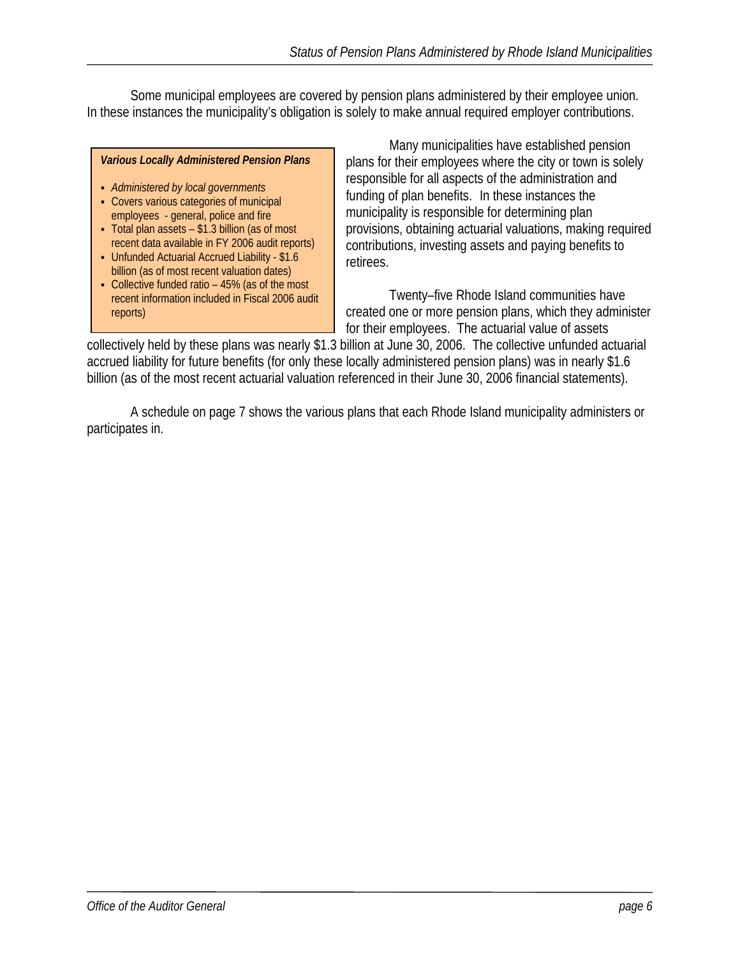Some municipal employees are covered by pension plans administered by their employee union. In these instances the municipality's obligation is solely to make annual required employer contributions.

#### *Various Locally Administered Pension Plans*

- *Administered by local governments*
- Covers various categories of municipal employees - general, police and fire
- Total plan assets \$1.3 billion (as of most recent data available in FY 2006 audit reports)
- Unfunded Actuarial Accrued Liability \$1.6 billion (as of most recent valuation dates)
- Collective funded ratio 45% (as of the most recent information included in Fiscal 2006 audit reports)

 Many municipalities have established pension plans for their employees where the city or town is solely responsible for all aspects of the administration and funding of plan benefits. In these instances the municipality is responsible for determining plan provisions, obtaining actuarial valuations, making required contributions, investing assets and paying benefits to retirees.

 Twenty–five Rhode Island communities have created one or more pension plans, which they administer for their employees. The actuarial value of assets

collectively held by these plans was nearly \$1.3 billion at June 30, 2006. The collective unfunded actuarial accrued liability for future benefits (for only these locally administered pension plans) was in nearly \$1.6 billion (as of the most recent actuarial valuation referenced in their June 30, 2006 financial statements).

 A schedule on page 7 shows the various plans that each Rhode Island municipality administers or participates in.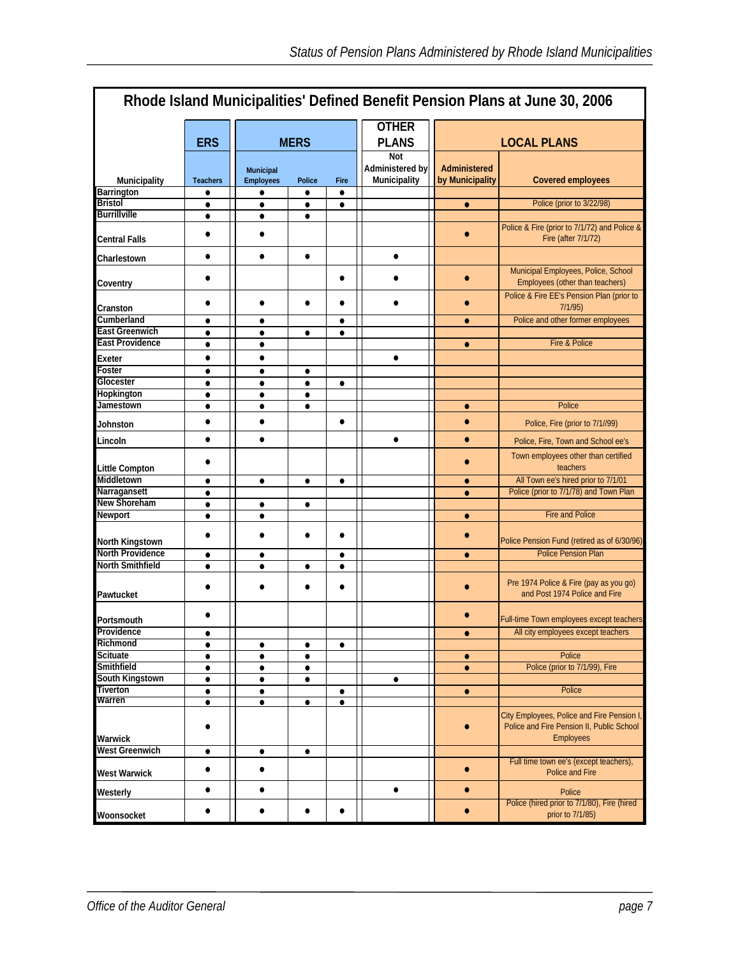| Rhode Island Municipalities' Defined Benefit Pension Plans at June 30, 2006 |                        |                                      |                        |                              |                                               |  |                                 |                                                                                                            |
|-----------------------------------------------------------------------------|------------------------|--------------------------------------|------------------------|------------------------------|-----------------------------------------------|--|---------------------------------|------------------------------------------------------------------------------------------------------------|
|                                                                             | <b>ERS</b>             | <b>MERS</b>                          |                        | <b>OTHER</b><br><b>PLANS</b> |                                               |  | <b>LOCAL PLANS</b>              |                                                                                                            |
| Municipality                                                                | <b>Teachers</b>        | <b>Municipal</b><br><b>Employees</b> | Police                 | Fire                         | <b>Not</b><br>Administered by<br>Municipality |  | Administered<br>by Municipality | <b>Covered employees</b>                                                                                   |
| Barrington<br><b>Bristol</b>                                                | $\bullet$              | ٠                                    | $\bullet$              | $\bullet$                    |                                               |  |                                 | Police (prior to 3/22/98)                                                                                  |
| <b>Burrillville</b>                                                         | $\bullet$              | $\bullet$<br>$\bullet$               | $\bullet$              | $\bullet$                    |                                               |  | $\bullet$                       |                                                                                                            |
| Central Falls                                                               | $\bullet$<br>٠         | $\bullet$                            | ٠                      |                              |                                               |  | $\bullet$                       | Police & Fire (prior to 7/1/72) and Police &<br>Fire (after 7/1/72)                                        |
| Charlestown                                                                 | $\bullet$              | $\bullet$                            | $\bullet$              |                              | $\bullet$                                     |  |                                 |                                                                                                            |
| Coventry                                                                    | $\bullet$              |                                      |                        | $\bullet$                    | $\bullet$                                     |  | $\bullet$                       | Municipal Employees, Police, School<br>Employees (other than teachers)                                     |
| Cranston                                                                    | ٠                      | $\bullet$                            | $\bullet$              | ٠                            |                                               |  | $\bullet$                       | Police & Fire EE's Pension Plan (prior to<br>7/1/95)                                                       |
| Cumberland                                                                  | ٠                      | $\bullet$                            |                        | ٠                            |                                               |  | $\bullet$                       | Police and other former employees                                                                          |
| <b>East Greenwich</b>                                                       | $\bullet$              | $\bullet$                            | $\bullet$              | $\bullet$                    |                                               |  |                                 |                                                                                                            |
| <b>East Providence</b>                                                      | $\bullet$              | $\bullet$                            |                        |                              |                                               |  | $\bullet$                       | Fire & Police                                                                                              |
| Exeter                                                                      | $\bullet$              | $\bullet$                            |                        |                              | $\bullet$                                     |  |                                 |                                                                                                            |
| Foster                                                                      | $\bullet$              | $\bullet$                            | $\bullet$              |                              |                                               |  |                                 |                                                                                                            |
| Glocester<br>Hopkington                                                     | ٠                      | $\bullet$                            | ٠                      | ٠                            |                                               |  |                                 |                                                                                                            |
| Jamestown                                                                   | $\bullet$<br>$\bullet$ | $\bullet$<br>$\bullet$               | $\bullet$<br>$\bullet$ |                              |                                               |  | $\bullet$                       | Police                                                                                                     |
| Johnston                                                                    | $\bullet$              | $\bullet$                            |                        | $\bullet$                    |                                               |  | $\bullet$                       | Police, Fire (prior to 7/1//99)                                                                            |
| Lincoln                                                                     | $\bullet$              | $\bullet$                            |                        |                              | $\bullet$                                     |  | $\bullet$                       | Police, Fire, Town and School ee's                                                                         |
| Little Compton                                                              | $\bullet$              |                                      |                        |                              |                                               |  | $\bullet$                       | Town employees other than certified<br>teachers                                                            |
| Middletown                                                                  | $\bullet$              | $\bullet$                            | $\bullet$              | $\bullet$                    |                                               |  | $\bullet$                       | All Town ee's hired prior to 7/1/01                                                                        |
| Narragansett                                                                | $\bullet$              |                                      |                        |                              |                                               |  | $\bullet$                       | Police (prior to 7/1/78) and Town Plan                                                                     |
| New Shoreham                                                                | $\bullet$              | $\bullet$                            | $\bullet$              |                              |                                               |  |                                 |                                                                                                            |
| Newport                                                                     | $\bullet$              | $\bullet$                            |                        |                              |                                               |  | $\bullet$                       | <b>Fire and Police</b>                                                                                     |
| North Kingstown                                                             |                        | $\bullet$                            |                        | $\bullet$                    |                                               |  |                                 | Police Pension Fund (retired as of 6/30/96)                                                                |
| <b>North Providence</b>                                                     | $\bullet$              | $\bullet$                            |                        | $\bullet$                    |                                               |  | $\bullet$                       | <b>Police Pension Plan</b>                                                                                 |
| <b>North Smithfield</b>                                                     | $\bullet$              | $\bullet$                            | $\bullet$              | $\bullet$                    |                                               |  |                                 |                                                                                                            |
| Pawtucket                                                                   |                        | $\bullet$                            |                        |                              |                                               |  |                                 | Pre 1974 Police & Fire (pay as you go)<br>and Post 1974 Police and Fire                                    |
| Portsmouth                                                                  |                        |                                      |                        |                              |                                               |  |                                 | Full-time Town employees except teachers                                                                   |
| Providence<br>Richmond                                                      | ٠                      |                                      |                        |                              |                                               |  | $\bullet$                       | All city employees except teachers                                                                         |
| <b>Scituate</b>                                                             | $\bullet$              | $\bullet$                            | $\bullet$              | $\bullet$                    |                                               |  |                                 | Police                                                                                                     |
| Smithfield                                                                  | $\bullet$<br>$\bullet$ | $\bullet$<br>$\bullet$               | $\bullet$<br>$\bullet$ |                              |                                               |  | $\bullet$<br>$\bullet$          | Police (prior to 7/1/99), Fire                                                                             |
| South Kingstown                                                             | $\bullet$              | $\bullet$                            | $\bullet$              |                              | $\bullet$                                     |  |                                 |                                                                                                            |
| Tiverton                                                                    | $\bullet$              | $\bullet$                            |                        | $\bullet$                    |                                               |  | $\bullet$                       | Police                                                                                                     |
| Warren                                                                      | ٠                      | $\bullet$                            | $\bullet$              | ٠                            |                                               |  |                                 |                                                                                                            |
| Warwick                                                                     | ٠                      |                                      |                        |                              |                                               |  |                                 | City Employees, Police and Fire Pension I<br>Police and Fire Pension II, Public School<br><b>Employees</b> |
| <b>West Greenwich</b>                                                       | $\bullet$              | $\bullet$                            | $\bullet$              |                              |                                               |  |                                 |                                                                                                            |
| West Warwick                                                                | ٠                      | $\bullet$                            |                        |                              |                                               |  | $\bullet$                       | Full time town ee's (except teachers),<br>Police and Fire                                                  |
| Westerly                                                                    | $\bullet$              | $\bullet$                            |                        |                              | $\bullet$                                     |  | $\bullet$                       | Police                                                                                                     |
| Woonsocket                                                                  | $\bullet$              | $\bullet$                            | $\bullet$              |                              |                                               |  |                                 | Police (hired prior to 7/1/80), Fire (hired<br>prior to 7/1/85)                                            |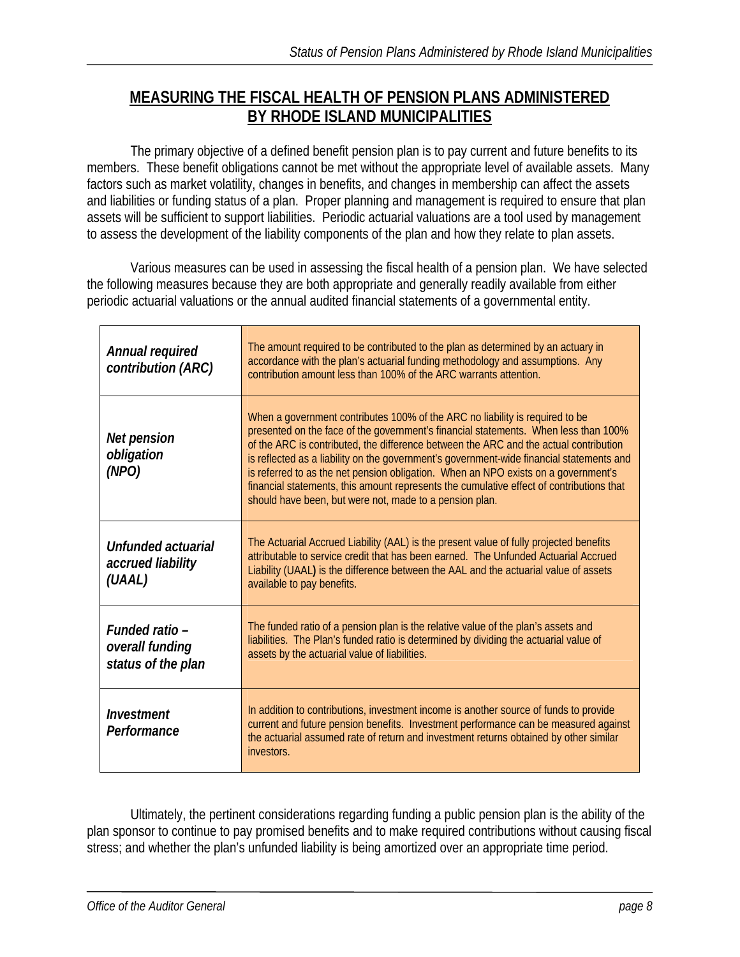## **MEASURING THE FISCAL HEALTH OF PENSION PLANS ADMINISTERED BY RHODE ISLAND MUNICIPALITIES**

 The primary objective of a defined benefit pension plan is to pay current and future benefits to its members. These benefit obligations cannot be met without the appropriate level of available assets. Many factors such as market volatility, changes in benefits, and changes in membership can affect the assets and liabilities or funding status of a plan. Proper planning and management is required to ensure that plan assets will be sufficient to support liabilities. Periodic actuarial valuations are a tool used by management to assess the development of the liability components of the plan and how they relate to plan assets.

 Various measures can be used in assessing the fiscal health of a pension plan. We have selected the following measures because they are both appropriate and generally readily available from either periodic actuarial valuations or the annual audited financial statements of a governmental entity.

| Annual required<br>contribution (ARC)                   | The amount required to be contributed to the plan as determined by an actuary in<br>accordance with the plan's actuarial funding methodology and assumptions. Any<br>contribution amount less than 100% of the ARC warrants attention.                                                                                                                                                                                                                                                                                                                                                                |
|---------------------------------------------------------|-------------------------------------------------------------------------------------------------------------------------------------------------------------------------------------------------------------------------------------------------------------------------------------------------------------------------------------------------------------------------------------------------------------------------------------------------------------------------------------------------------------------------------------------------------------------------------------------------------|
| Net pension<br>obligation<br>(NPO)                      | When a government contributes 100% of the ARC no liability is required to be<br>presented on the face of the government's financial statements. When less than 100%<br>of the ARC is contributed, the difference between the ARC and the actual contribution<br>is reflected as a liability on the government's government-wide financial statements and<br>is referred to as the net pension obligation. When an NPO exists on a government's<br>financial statements, this amount represents the cumulative effect of contributions that<br>should have been, but were not, made to a pension plan. |
| Unfunded actuarial<br>accrued liability<br>(UAAL)       | The Actuarial Accrued Liability (AAL) is the present value of fully projected benefits<br>attributable to service credit that has been earned. The Unfunded Actuarial Accrued<br>Liability (UAAL) is the difference between the AAL and the actuarial value of assets<br>available to pay benefits.                                                                                                                                                                                                                                                                                                   |
| Funded ratio -<br>overall funding<br>status of the plan | The funded ratio of a pension plan is the relative value of the plan's assets and<br>liabilities. The Plan's funded ratio is determined by dividing the actuarial value of<br>assets by the actuarial value of liabilities.                                                                                                                                                                                                                                                                                                                                                                           |
| Investment<br>Performance                               | In addition to contributions, investment income is another source of funds to provide<br>current and future pension benefits. Investment performance can be measured against<br>the actuarial assumed rate of return and investment returns obtained by other similar<br>investors.                                                                                                                                                                                                                                                                                                                   |

 Ultimately, the pertinent considerations regarding funding a public pension plan is the ability of the plan sponsor to continue to pay promised benefits and to make required contributions without causing fiscal stress; and whether the plan's unfunded liability is being amortized over an appropriate time period.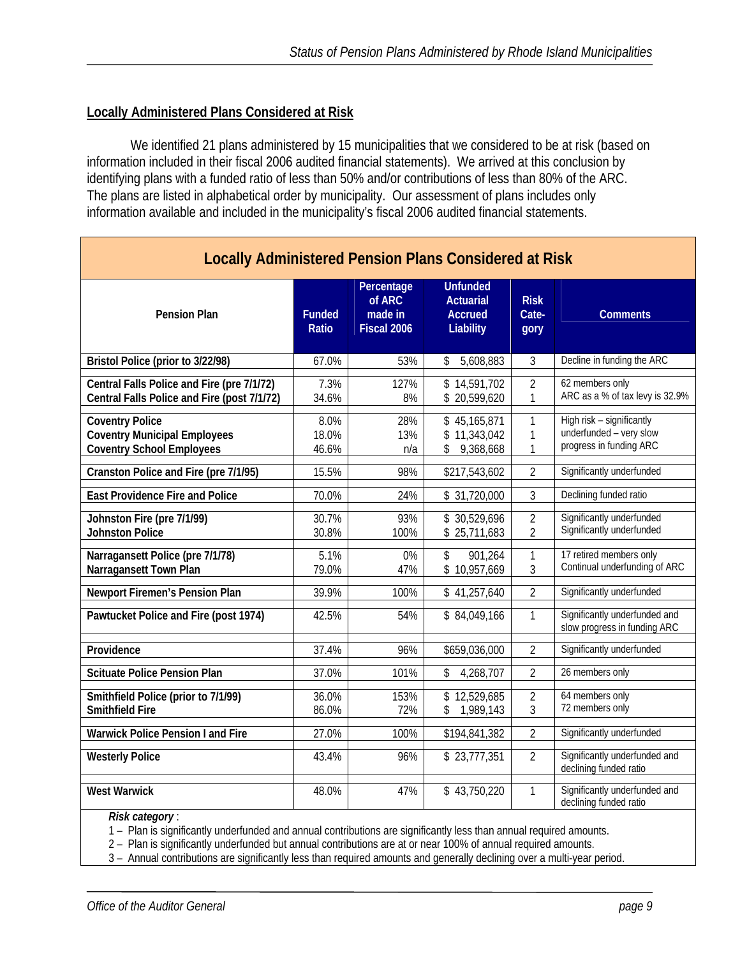#### **Locally Administered Plans Considered at Risk**

We identified 21 plans administered by 15 municipalities that we considered to be at risk (based on information included in their fiscal 2006 audited financial statements). We arrived at this conclusion by identifying plans with a funded ratio of less than 50% and/or contributions of less than 80% of the ARC. The plans are listed in alphabetical order by municipality. Our assessment of plans includes only information available and included in the municipality's fiscal 2006 audited financial statements.

| <b>Locally Administered Pension Plans Considered at Risk</b>                                      |                        |                                                |                                                                    |                                  |                                                                                 |  |  |  |
|---------------------------------------------------------------------------------------------------|------------------------|------------------------------------------------|--------------------------------------------------------------------|----------------------------------|---------------------------------------------------------------------------------|--|--|--|
| <b>Pension Plan</b>                                                                               | <b>Funded</b><br>Ratio | Percentage<br>of ARC<br>made in<br>Fiscal 2006 | <b>Unfunded</b><br><b>Actuarial</b><br><b>Accrued</b><br>Liability | <b>Risk</b><br>Cate-<br>gory     | <b>Comments</b>                                                                 |  |  |  |
| Bristol Police (prior to 3/22/98)                                                                 | 67.0%                  | 53%                                            | 5,608,883<br>\$                                                    | $\overline{3}$                   | Decline in funding the ARC                                                      |  |  |  |
| Central Falls Police and Fire (pre 7/1/72)<br>Central Falls Police and Fire (post 7/1/72)         | 7.3%<br>34.6%          | 127%<br>8%                                     | \$14,591,702<br>\$20,599,620                                       | $\overline{2}$<br>1              | 62 members only<br>ARC as a % of tax levy is 32.9%                              |  |  |  |
| <b>Coventry Police</b><br><b>Coventry Municipal Employees</b><br><b>Coventry School Employees</b> | 8.0%<br>18.0%<br>46.6% | 28%<br>13%<br>n/a                              | \$45,165,871<br>\$11,343,042<br>9,368,668<br>\$                    | $\mathbf{1}$<br>1<br>1           | High risk - significantly<br>underfunded - very slow<br>progress in funding ARC |  |  |  |
| Cranston Police and Fire (pre 7/1/95)                                                             | 15.5%                  | 98%                                            | \$217,543,602                                                      | $\overline{2}$                   | Significantly underfunded                                                       |  |  |  |
| <b>East Providence Fire and Police</b>                                                            | 70.0%                  | 24%                                            | \$ 31,720,000                                                      | 3                                | Declining funded ratio                                                          |  |  |  |
| Johnston Fire (pre 7/1/99)<br><b>Johnston Police</b>                                              | 30.7%<br>30.8%         | 93%<br>100%                                    | \$30,529,696<br>\$25,711,683                                       | $\overline{2}$<br>$\overline{2}$ | Significantly underfunded<br>Significantly underfunded                          |  |  |  |
| Narragansett Police (pre 7/1/78)<br>Narragansett Town Plan                                        | 5.1%<br>79.0%          | 0%<br>47%                                      | \$<br>901,264<br>\$10,957,669                                      | 1<br>3                           | 17 retired members only<br>Continual underfunding of ARC                        |  |  |  |
| Newport Firemen's Pension Plan                                                                    | 39.9%                  | 100%                                           | \$41,257,640                                                       | $\overline{2}$                   | Significantly underfunded                                                       |  |  |  |
| Pawtucket Police and Fire (post 1974)                                                             | 42.5%                  | 54%                                            | \$84,049,166                                                       | $\mathbf{1}$                     | Significantly underfunded and<br>slow progress in funding ARC                   |  |  |  |
| Providence                                                                                        | 37.4%                  | 96%                                            | \$659,036,000                                                      | $\overline{2}$                   | Significantly underfunded                                                       |  |  |  |
| <b>Scituate Police Pension Plan</b>                                                               | 37.0%                  | 101%                                           | \$<br>4,268,707                                                    | $\overline{2}$                   | 26 members only                                                                 |  |  |  |
| Smithfield Police (prior to 7/1/99)<br><b>Smithfield Fire</b>                                     | 36.0%<br>86.0%         | 153%<br>72%                                    | \$12,529,685<br>\$1,989,143                                        | $\overline{2}$<br>3              | 64 members only<br>72 members only                                              |  |  |  |
| <b>Warwick Police Pension I and Fire</b>                                                          | 27.0%                  | 100%                                           | \$194,841,382                                                      | $\overline{2}$                   | Significantly underfunded                                                       |  |  |  |
| <b>Westerly Police</b>                                                                            | 43.4%                  | 96%                                            | \$23,777,351                                                       | $\overline{2}$                   | Significantly underfunded and<br>declining funded ratio                         |  |  |  |
| <b>West Warwick</b>                                                                               | 48.0%                  | 47%                                            | \$43,750,220                                                       | 1                                | Significantly underfunded and<br>declining funded ratio                         |  |  |  |

*Risk category* :

1 – Plan is significantly underfunded and annual contributions are significantly less than annual required amounts.

2 – Plan is significantly underfunded but annual contributions are at or near 100% of annual required amounts.

3 – Annual contributions are significantly less than required amounts and generally declining over a multi-year period.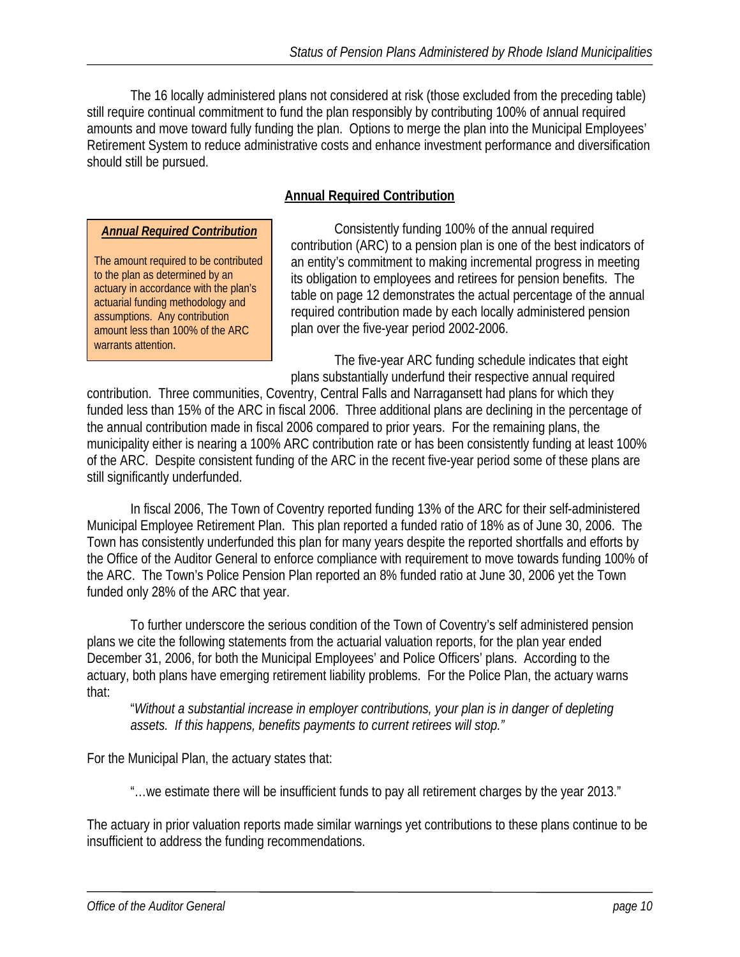The 16 locally administered plans not considered at risk (those excluded from the preceding table) still require continual commitment to fund the plan responsibly by contributing 100% of annual required amounts and move toward fully funding the plan. Options to merge the plan into the Municipal Employees' Retirement System to reduce administrative costs and enhance investment performance and diversification should still be pursued.

## **Annual Required Contribution**

#### *Annual Required Contribution*

The amount required to be contributed to the plan as determined by an actuary in accordance with the plan's actuarial funding methodology and assumptions. Any contribution amount less than 100% of the ARC warrants attention.

 Consistently funding 100% of the annual required contribution (ARC) to a pension plan is one of the best indicators of an entity's commitment to making incremental progress in meeting its obligation to employees and retirees for pension benefits. The table on page 12 demonstrates the actual percentage of the annual required contribution made by each locally administered pension plan over the five-year period 2002-2006.

 The five-year ARC funding schedule indicates that eight plans substantially underfund their respective annual required

contribution. Three communities, Coventry, Central Falls and Narragansett had plans for which they funded less than 15% of the ARC in fiscal 2006. Three additional plans are declining in the percentage of the annual contribution made in fiscal 2006 compared to prior years. For the remaining plans, the municipality either is nearing a 100% ARC contribution rate or has been consistently funding at least 100% of the ARC. Despite consistent funding of the ARC in the recent five-year period some of these plans are still significantly underfunded.

In fiscal 2006, The Town of Coventry reported funding 13% of the ARC for their self-administered Municipal Employee Retirement Plan. This plan reported a funded ratio of 18% as of June 30, 2006. The Town has consistently underfunded this plan for many years despite the reported shortfalls and efforts by the Office of the Auditor General to enforce compliance with requirement to move towards funding 100% of the ARC. The Town's Police Pension Plan reported an 8% funded ratio at June 30, 2006 yet the Town funded only 28% of the ARC that year.

 To further underscore the serious condition of the Town of Coventry's self administered pension plans we cite the following statements from the actuarial valuation reports, for the plan year ended December 31, 2006, for both the Municipal Employees' and Police Officers' plans. According to the actuary, both plans have emerging retirement liability problems. For the Police Plan, the actuary warns that:

"*Without a substantial increase in employer contributions, your plan is in danger of depleting assets. If this happens, benefits payments to current retirees will stop."* 

For the Municipal Plan, the actuary states that:

"…we estimate there will be insufficient funds to pay all retirement charges by the year 2013."

The actuary in prior valuation reports made similar warnings yet contributions to these plans continue to be insufficient to address the funding recommendations.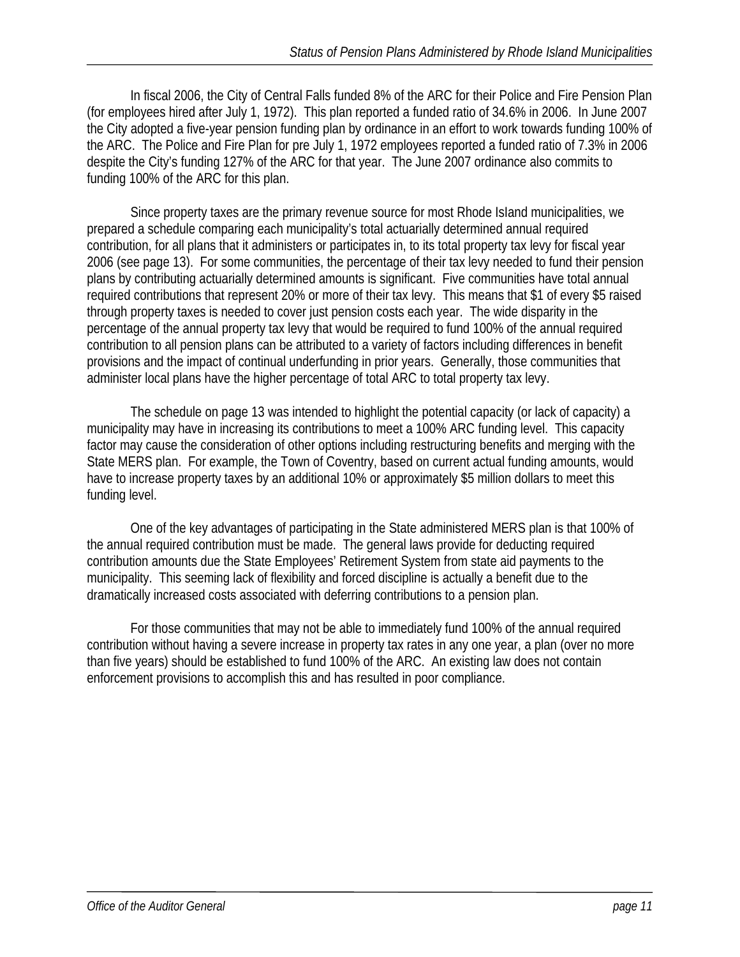In fiscal 2006, the City of Central Falls funded 8% of the ARC for their Police and Fire Pension Plan (for employees hired after July 1, 1972). This plan reported a funded ratio of 34.6% in 2006. In June 2007 the City adopted a five-year pension funding plan by ordinance in an effort to work towards funding 100% of the ARC. The Police and Fire Plan for pre July 1, 1972 employees reported a funded ratio of 7.3% in 2006 despite the City's funding 127% of the ARC for that year. The June 2007 ordinance also commits to funding 100% of the ARC for this plan.

Since property taxes are the primary revenue source for most Rhode IsIand municipalities, we prepared a schedule comparing each municipality's total actuarially determined annual required contribution, for all plans that it administers or participates in, to its total property tax levy for fiscal year 2006 (see page 13). For some communities, the percentage of their tax levy needed to fund their pension plans by contributing actuarially determined amounts is significant. Five communities have total annual required contributions that represent 20% or more of their tax levy. This means that \$1 of every \$5 raised through property taxes is needed to cover just pension costs each year. The wide disparity in the percentage of the annual property tax levy that would be required to fund 100% of the annual required contribution to all pension plans can be attributed to a variety of factors including differences in benefit provisions and the impact of continual underfunding in prior years. Generally, those communities that administer local plans have the higher percentage of total ARC to total property tax levy.

 The schedule on page 13 was intended to highlight the potential capacity (or lack of capacity) a municipality may have in increasing its contributions to meet a 100% ARC funding level. This capacity factor may cause the consideration of other options including restructuring benefits and merging with the State MERS plan. For example, the Town of Coventry, based on current actual funding amounts, would have to increase property taxes by an additional 10% or approximately \$5 million dollars to meet this funding level.

 One of the key advantages of participating in the State administered MERS plan is that 100% of the annual required contribution must be made. The general laws provide for deducting required contribution amounts due the State Employees' Retirement System from state aid payments to the municipality. This seeming lack of flexibility and forced discipline is actually a benefit due to the dramatically increased costs associated with deferring contributions to a pension plan.

For those communities that may not be able to immediately fund 100% of the annual required contribution without having a severe increase in property tax rates in any one year, a plan (over no more than five years) should be established to fund 100% of the ARC. An existing law does not contain enforcement provisions to accomplish this and has resulted in poor compliance.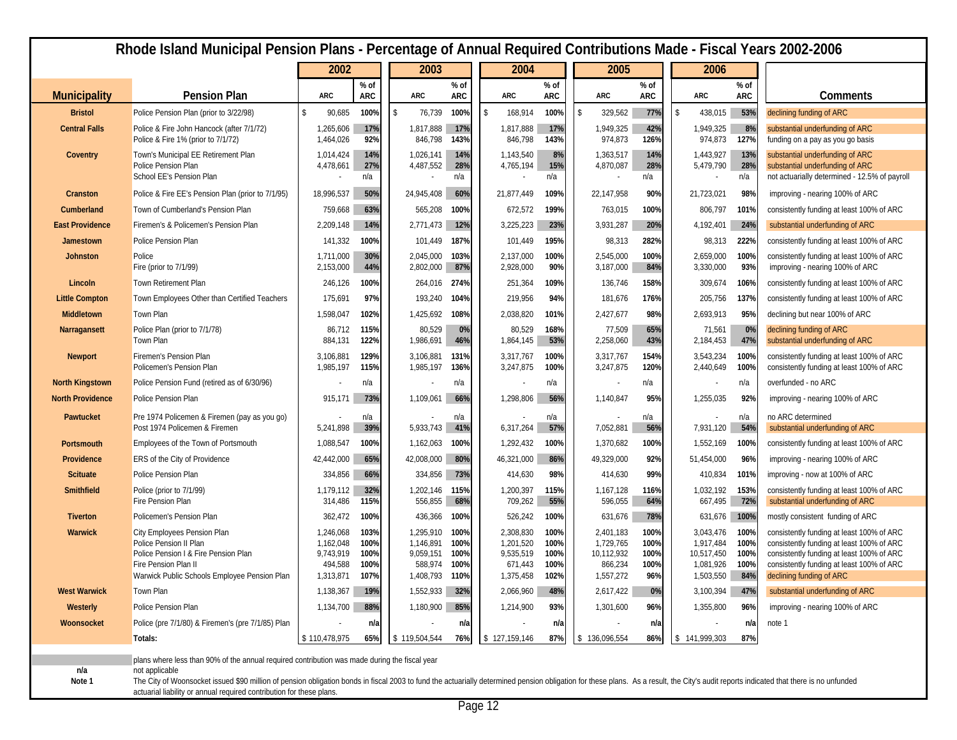|                         | Rhode Island Municipal Pension Plans - Percentage of Annual Required Contributions Made - Fiscal Years 2002-2006                                                                                                                                                                                        |                         |              |                        |                      |                        |               |             |                        |                    |                        |                      |                                                                                        |
|-------------------------|---------------------------------------------------------------------------------------------------------------------------------------------------------------------------------------------------------------------------------------------------------------------------------------------------------|-------------------------|--------------|------------------------|----------------------|------------------------|---------------|-------------|------------------------|--------------------|------------------------|----------------------|----------------------------------------------------------------------------------------|
|                         |                                                                                                                                                                                                                                                                                                         | 2002                    |              | 2003                   |                      | 2004                   |               |             | 2005<br>2006           |                    |                        |                      |                                                                                        |
| <b>Municipality</b>     | <b>Pension Plan</b>                                                                                                                                                                                                                                                                                     | <b>ARC</b>              | % of<br>ARC  | <b>ARC</b>             | $%$ of<br><b>ARC</b> | <b>ARC</b>             | $%$ of<br>ARC | <b>ARC</b>  |                        | % of<br><b>ARC</b> | <b>ARC</b>             | $%$ of<br><b>ARC</b> | Comments                                                                               |
| <b>Bristol</b>          | Police Pension Plan (prior to 3/22/98)                                                                                                                                                                                                                                                                  | <sup>\$</sup><br>90,685 | 100%         | \$<br>76,739           | 100%                 | 168,914<br>\$          | 100%          | $\sqrt{3}$  | 329,562                | 77%                | \$<br>438,015          | 53%                  | declining funding of ARC                                                               |
| <b>Central Falls</b>    | Police & Fire John Hancock (after 7/1/72)                                                                                                                                                                                                                                                               | 1,265,606               | 17%          | 1,817,888              | 17%                  | 1,817,888              | 17%           |             | 1,949,325              | 42%                | 1,949,325              | 8%                   | substantial underfunding of ARC                                                        |
|                         | Police & Fire 1% (prior to 7/1/72)                                                                                                                                                                                                                                                                      | 1,464,026               | 92%          | 846,798                | 143%                 | 846,798                | 143%          |             | 974,873                | 126%               | 974,873                | 127%                 | funding on a pay as you go basis                                                       |
| Coventry                | Town's Municipal EE Retirement Plan<br>Police Pension Plan                                                                                                                                                                                                                                              | 1,014,424<br>4,478,661  | 14%<br>27%   | 1,026,141<br>4,487,552 | 14%<br>28%           | 1,143,540<br>4,765,194 | 8%<br>15%     |             | 1,363,517<br>4,870,087 | 14%<br>28%         | 1,443,927<br>5,479,790 | 13%<br>28%           | substantial underfunding of ARC<br>substantial underfunding of ARC                     |
|                         | School EE's Pension Plan                                                                                                                                                                                                                                                                                |                         | n/a          |                        | n/a                  |                        | n/a           |             |                        | n/a                |                        | n/a                  | not actuarially determined - 12.5% of payroll                                          |
| Cranston                | Police & Fire EE's Pension Plan (prior to 7/1/95)                                                                                                                                                                                                                                                       | 18,996,537              | 50%          | 24,945,408             | 60%                  | 21,877,449             | 109%          | 22,147,958  |                        | 90%                | 21,723,021             | 98%                  | improving - nearing 100% of ARC                                                        |
| Cumberland              | Town of Cumberland's Pension Plan                                                                                                                                                                                                                                                                       | 759,668                 | 63%          | 565,208                | 100%                 | 672,572                | 199%          |             | 763,015                | 100%               | 806,797                | 101%                 | consistently funding at least 100% of ARC                                              |
| <b>East Providence</b>  | Firemen's & Policemen's Pension Plan                                                                                                                                                                                                                                                                    | 2,209,148               | 14%          | 2,771,473              | 12%                  | 3,225,223              | 23%           |             | 3,931,287              | 20%                | 4,192,401              | 24%                  | substantial underfunding of ARC                                                        |
| Jamestown               | Police Pension Plan                                                                                                                                                                                                                                                                                     | 141,332                 | 100%         | 101,449                | 187%                 | 101,449                | 195%          |             | 98,313                 | 282%               | 98,313                 | 222%                 | consistently funding at least 100% of ARC                                              |
| <b>Johnston</b>         | Police<br>Fire (prior to 7/1/99)                                                                                                                                                                                                                                                                        | 1,711,000<br>2,153,000  | 30%<br>44%   | 2,045,000<br>2,802,000 | 103%<br>87%          | 2,137,000<br>2,928,000 | 100%<br>90%   |             | 2,545,000<br>3,187,000 | 100%<br>84%        | 2,659,000<br>3,330,000 | 100%<br>93%          | consistently funding at least 100% of ARC<br>improving - nearing 100% of ARC           |
| Lincoln                 | Town Retirement Plan                                                                                                                                                                                                                                                                                    | 246,126                 | 100%         | 264,016                | 274%                 | 251,364                | 109%          |             | 136,746                | 158%               | 309,674                | 106%                 | consistently funding at least 100% of ARC                                              |
| <b>Little Compton</b>   | Town Employees Other than Certified Teachers                                                                                                                                                                                                                                                            | 175,691                 | 97%          | 193,240                | 104%                 | 219,956                | 94%           |             | 181,676                | 176%               | 205,756                | 137%                 | consistently funding at least 100% of ARC                                              |
| Middletown              | Town Plan                                                                                                                                                                                                                                                                                               | 1,598,047               | 102%         | 1,425,692              | 108%                 | 2,038,820              | 101%          |             | 2,427,677              | 98%                | 2,693,913              | 95%                  | declining but near 100% of ARC                                                         |
| Narragansett            | Police Plan (prior to 7/1/78)                                                                                                                                                                                                                                                                           | 86,712                  | 115%         | 80,529                 | 0%                   | 80,529                 | 168%          |             | 77,509                 | 65%                | 71,561                 | 0%                   | declining funding of ARC                                                               |
|                         | Town Plan                                                                                                                                                                                                                                                                                               | 884,131                 | 122%         | 1,986,691              | 46%                  | 1,864,145              | 53%           |             | 2,258,060              | 43%                | 2,184,453              | 47%                  | substantial underfunding of ARC                                                        |
| <b>Newport</b>          | Firemen's Pension Plan<br>Policemen's Pension Plan                                                                                                                                                                                                                                                      | 3,106,881<br>1,985,197  | 129%<br>115% | 3,106,881<br>1,985,197 | 131%<br>136%         | 3,317,767<br>3,247,875 | 100%<br>100%  |             | 3,317,767<br>3,247,875 | 154%<br>120%       | 3,543,234<br>2,440,649 | 100%<br>100%         | consistently funding at least 100% of ARC<br>consistently funding at least 100% of ARC |
| <b>North Kingstown</b>  | Police Pension Fund (retired as of 6/30/96)                                                                                                                                                                                                                                                             |                         | n/a          |                        | n/a                  |                        | n/a           |             |                        | n/a                |                        | n/a                  | overfunded - no ARC                                                                    |
| <b>North Providence</b> | Police Pension Plan                                                                                                                                                                                                                                                                                     | 915,171                 | 73%          | 1,109,061              | 66%                  | 1,298,806              | 56%           |             | 1,140,847              | 95%                | 1,255,035              | 92%                  | improving - nearing 100% of ARC                                                        |
| Pawtucket               | Pre 1974 Policemen & Firemen (pay as you go)<br>Post 1974 Policemen & Firemen                                                                                                                                                                                                                           | 5,241,898               | n/a<br>39%   | 5,933,743              | n/a<br>41%           | 6,317,264              | n/a<br>57%    |             | 7,052,881              | n/a<br>56%         | 7,931,120              | n/a<br>54%           | no ARC determined<br>substantial underfunding of ARC                                   |
| Portsmouth              | Employees of the Town of Portsmouth                                                                                                                                                                                                                                                                     | 1,088,547               | 100%         | 1,162,063              | 100%                 | 1,292,432              | 100%          |             | 1,370,682              | 100%               | 1,552,169              | 100%                 | consistently funding at least 100% of ARC                                              |
| Providence              | <b>ERS</b> of the City of Providence                                                                                                                                                                                                                                                                    | 42,442,000              | 65%          | 42,008,000             | 80%                  | 46,321,000             | 86%           | 49,329,000  |                        | 92%                | 51,454,000             | 96%                  | improving - nearing 100% of ARC                                                        |
| <b>Scituate</b>         | Police Pension Plan                                                                                                                                                                                                                                                                                     | 334,856                 | 66%          | 334,856                | 73%                  | 414,630                | 98%           |             | 414,630                | 99%                | 410,834                | 101%                 | improving - now at 100% of ARC                                                         |
| Smithfield              | Police (prior to 7/1/99)                                                                                                                                                                                                                                                                                | 1,179,112               | 32%          | 1,202,146              | 115%                 | 1,200,397              | 115%          |             | 1,167,128              | 116%               | 1,032,192              | 153%                 | consistently funding at least 100% of ARC                                              |
|                         | Fire Pension Plan                                                                                                                                                                                                                                                                                       | 314,486                 | 115%         | 556,855                | 68%                  | 709,262                | 55%           |             | 596,055                | 64%                | 667,495                | 72%                  | substantial underfunding of ARC                                                        |
| <b>Tiverton</b>         | Policemen's Pension Plan                                                                                                                                                                                                                                                                                | 362,472                 | 100%         | 436,366                | 100%                 | 526,242                | 100%          |             | 631,676                | 78%                | 631,676                | 100%                 | mostly consistent funding of ARC                                                       |
| <b>Warwick</b>          | City Employees Pension Plan<br>Police Pension II Plan                                                                                                                                                                                                                                                   | 1,246,068<br>1,162,048  | 103%<br>100% | 1,295,910<br>1,146,891 | 100%<br>100%         | 2,308,830<br>1,201,520 | 100%<br>100%  |             | 2,401,183<br>1,729,765 | 100%<br>100%       | 3,043,476<br>1,917,484 | 100%<br>100%         | consistently funding at least 100% of ARC<br>consistently funding at least 100% of ARC |
|                         | Police Pension I & Fire Pension Plan                                                                                                                                                                                                                                                                    | 9,743,919               | 100%         | 9,059,151              | 100%                 | 9,535,519              | 100%          | 10,112,932  |                        | 100%               | 10,517,450             | 100%                 | consistently funding at least 100% of ARC                                              |
|                         | Fire Pension Plan II<br>Warwick Public Schools Employee Pension Plan                                                                                                                                                                                                                                    | 494,588<br>1,313,871    | 100%<br>107% | 588,974<br>1,408,793   | 100%<br>110%         | 671,443<br>1,375,458   | 100%<br>102%  |             | 866,234<br>1,557,272   | 100%<br>96%        | 1,081,926<br>1,503,550 | 100%<br>84%          | consistently funding at least 100% of ARC<br>declining funding of ARC                  |
| <b>West Warwick</b>     | Town Plan                                                                                                                                                                                                                                                                                               | 1,138,367               | 19%          | 1,552,933              | 32%                  | 2,066,960              | 48%           |             | 2,617,422              | 0%                 | 3,100,394              | 47%                  | substantial underfunding of ARC                                                        |
| Westerly                | Police Pension Plan                                                                                                                                                                                                                                                                                     | 1,134,700               | 88%          | 1,180,900              | 85%                  | 1,214,900              | 93%           |             | 1,301,600              | 96%                | 1,355,800              | 96%                  | improving - nearing 100% of ARC                                                        |
| Woonsocket              | Police (pre 7/1/80) & Firemen's (pre 7/1/85) Plan                                                                                                                                                                                                                                                       |                         | n/a          |                        | n/a                  |                        | n/a           |             |                        | n/a                |                        | n/a                  | note 1                                                                                 |
|                         | Totals:                                                                                                                                                                                                                                                                                                 | \$110,478,975           | 65%          | \$119,504,544          | 76%                  | \$127,159,146          | 87%           | 136,096,554 |                        | 86%                | 141,999,303<br>S.      | 87%                  |                                                                                        |
|                         | plans where less than 90% of the annual required contribution was made during the fiscal year                                                                                                                                                                                                           |                         |              |                        |                      |                        |               |             |                        |                    |                        |                      |                                                                                        |
| n/a                     | not applicable                                                                                                                                                                                                                                                                                          |                         |              |                        |                      |                        |               |             |                        |                    |                        |                      |                                                                                        |
| Note 1                  | The City of Woonsocket issued \$90 million of pension obligation bonds in fiscal 2003 to fund the actuarially determined pension obligation for these plans. As a result, the City's audit reports indicated that there is no u<br>actuarial liability or annual required contribution for these plans. |                         |              |                        |                      |                        |               |             |                        |                    |                        |                      |                                                                                        |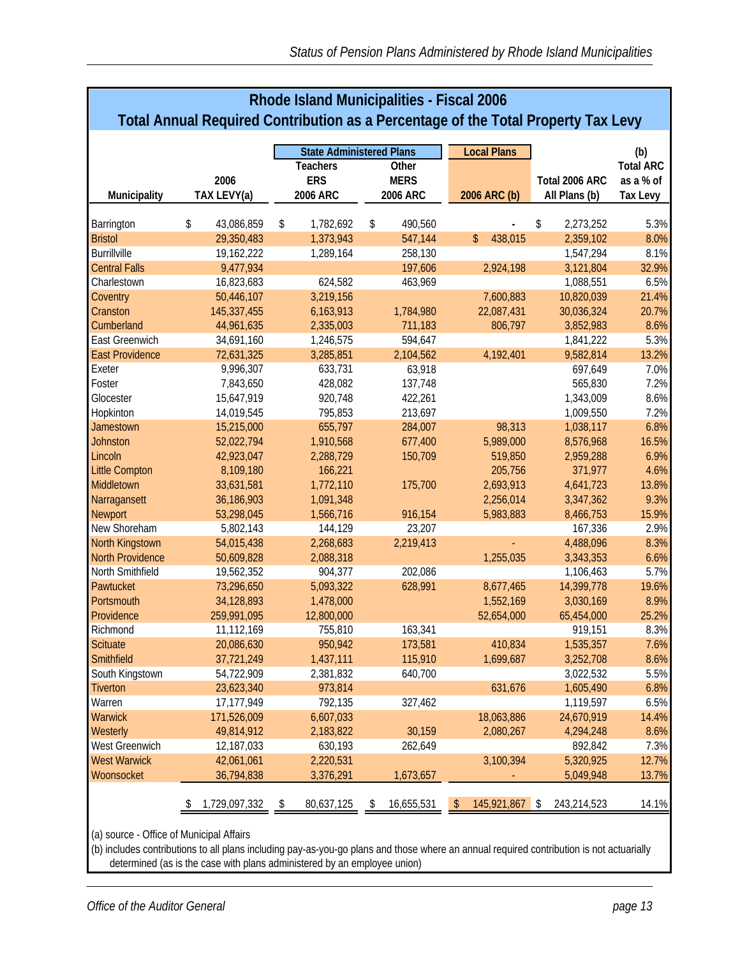| <b>Rhode Island Municipalities - Fiscal 2006</b> |                                                                                   |                        |                                 |                    |                        |                  |  |  |
|--------------------------------------------------|-----------------------------------------------------------------------------------|------------------------|---------------------------------|--------------------|------------------------|------------------|--|--|
|                                                  | Total Annual Required Contribution as a Percentage of the Total Property Tax Levy |                        |                                 |                    |                        |                  |  |  |
|                                                  |                                                                                   |                        | <b>State Administered Plans</b> | <b>Local Plans</b> |                        | (b)              |  |  |
|                                                  |                                                                                   | <b>Teachers</b>        | Other                           |                    |                        | <b>Total ARC</b> |  |  |
|                                                  | 2006                                                                              | <b>ERS</b>             | <b>MERS</b>                     |                    | Total 2006 ARC         | as a % of        |  |  |
| Municipality                                     | TAX LEVY(a)                                                                       | 2006 ARC               | 2006 ARC                        | 2006 ARC (b)       | All Plans (b)          | <b>Tax Levy</b>  |  |  |
|                                                  |                                                                                   |                        |                                 |                    |                        |                  |  |  |
| Barrington                                       | \$<br>43,086,859                                                                  | \$<br>1,782,692        | \$<br>490,560                   | 438,015<br>\$      | \$<br>2,273,252        | 5.3%             |  |  |
| <b>Bristol</b><br><b>Burrillville</b>            | 29,350,483                                                                        | 1,373,943<br>1,289,164 | 547,144<br>258,130              |                    | 2,359,102<br>1,547,294 | 8.0%             |  |  |
|                                                  | 19,162,222                                                                        |                        |                                 |                    |                        | 8.1%             |  |  |
| <b>Central Falls</b>                             | 9,477,934                                                                         |                        | 197,606                         | 2,924,198          | 3,121,804              | 32.9%            |  |  |
| Charlestown                                      | 16,823,683                                                                        | 624,582                | 463,969                         |                    | 1,088,551              | 6.5%             |  |  |
| Coventry                                         | 50,446,107                                                                        | 3,219,156              |                                 | 7,600,883          | 10,820,039             | 21.4%            |  |  |
| Cranston                                         | 145,337,455                                                                       | 6,163,913              | 1,784,980                       | 22,087,431         | 30,036,324             | 20.7%            |  |  |
| Cumberland                                       | 44,961,635                                                                        | 2,335,003              | 711,183                         | 806,797            | 3,852,983              | 8.6%             |  |  |
| East Greenwich                                   | 34,691,160                                                                        | 1,246,575              | 594,647                         |                    | 1,841,222              | 5.3%             |  |  |
| <b>East Providence</b>                           | 72,631,325                                                                        | 3,285,851              | 2,104,562                       | 4,192,401          | 9,582,814              | 13.2%            |  |  |
| Exeter                                           | 9,996,307                                                                         | 633,731                | 63,918                          |                    | 697,649                | 7.0%             |  |  |
| Foster                                           | 7,843,650                                                                         | 428,082                | 137,748                         |                    | 565,830                | 7.2%             |  |  |
| Glocester                                        | 15,647,919                                                                        | 920,748                | 422,261                         |                    | 1,343,009              | 8.6%             |  |  |
| Hopkinton                                        | 14,019,545                                                                        | 795,853                | 213,697                         |                    | 1,009,550              | 7.2%             |  |  |
| Jamestown                                        | 15,215,000                                                                        | 655,797                | 284,007                         | 98,313             | 1,038,117              | 6.8%             |  |  |
| <b>Johnston</b>                                  | 52,022,794                                                                        | 1,910,568              | 677,400                         | 5,989,000          | 8,576,968              | 16.5%            |  |  |
| Lincoln                                          | 42,923,047                                                                        | 2,288,729              | 150,709                         | 519,850            | 2,959,288              | 6.9%             |  |  |
| <b>Little Compton</b>                            | 8,109,180                                                                         | 166,221                |                                 | 205,756            | 371,977                | 4.6%             |  |  |
| Middletown                                       | 33,631,581                                                                        | 1,772,110              | 175,700                         | 2,693,913          | 4,641,723              | 13.8%            |  |  |
| Narragansett                                     | 36,186,903                                                                        | 1,091,348              |                                 | 2,256,014          | 3,347,362              | 9.3%             |  |  |
| Newport                                          | 53,298,045                                                                        | 1,566,716              | 916,154                         | 5,983,883          | 8,466,753              | 15.9%            |  |  |
| New Shoreham                                     | 5,802,143                                                                         | 144,129                | 23,207                          |                    | 167,336                | 2.9%             |  |  |
| North Kingstown                                  | 54,015,438                                                                        | 2,268,683              | 2,219,413                       |                    | 4,488,096              | 8.3%             |  |  |
| <b>North Providence</b>                          | 50,609,828                                                                        | 2,088,318              |                                 | 1,255,035          | 3,343,353              | 6.6%             |  |  |
| North Smithfield                                 | 19,562,352                                                                        | 904,377                | 202,086                         |                    | 1,106,463              | 5.7%             |  |  |
| Pawtucket                                        | 73,296,650                                                                        | 5,093,322              | 628,991                         | 8,677,465          | 14,399,778             | 19.6%            |  |  |
| Portsmouth                                       | 34,128,893                                                                        | 1,478,000              |                                 | 1,552,169          | 3,030,169              | 8.9%             |  |  |
| Providence                                       | 259,991,095                                                                       | 12,800,000             |                                 | 52,654,000         | 65,454,000             | 25.2%            |  |  |
| Richmond                                         | 11,112,169                                                                        | 755,810                | 163,341                         |                    | 919,151                | 8.3%             |  |  |
| <b>Scituate</b>                                  | 20,086,630                                                                        | 950,942                | 173,581                         | 410,834            | 1,535,357              | 7.6%             |  |  |
| Smithfield                                       | 37,721,249                                                                        | 1,437,111              | 115,910                         | 1,699,687          | 3,252,708              | 8.6%             |  |  |
| South Kingstown                                  | 54,722,909                                                                        | 2,381,832              | 640,700                         |                    | 3,022,532              | 5.5%             |  |  |
| <b>Tiverton</b>                                  | 23,623,340                                                                        | 973,814                |                                 | 631,676            | 1,605,490              | 6.8%             |  |  |
| Warren                                           | 17,177,949                                                                        | 792,135                | 327,462                         |                    | 1,119,597              | 6.5%             |  |  |
| Warwick                                          | 171,526,009                                                                       | 6,607,033              |                                 | 18,063,886         | 24,670,919             | 14.4%            |  |  |
| Westerly                                         | 49,814,912                                                                        | 2,183,822              | 30,159                          | 2,080,267          | 4,294,248              | 8.6%             |  |  |
| West Greenwich                                   | 12,187,033                                                                        | 630,193                | 262,649                         |                    | 892,842                | 7.3%             |  |  |
| <b>West Warwick</b>                              | 42,061,061                                                                        | 2,220,531              |                                 | 3,100,394          | 5,320,925              | 12.7%            |  |  |
| Woonsocket                                       | 36,794,838                                                                        | 3,376,291              | 1,673,657                       |                    | 5,049,948              | 13.7%            |  |  |
|                                                  |                                                                                   |                        |                                 |                    |                        |                  |  |  |
|                                                  | 1,729,097,332<br>\$                                                               | 80,637,125<br>\$       | 16,655,531<br>\$                | 145,921,867<br>\$  | \$<br>243,214,523      | 14.1%            |  |  |

(a) source - Office of Municipal Affairs

(b) includes contributions to all plans including pay-as-you-go plans and those where an annual required contribution is not actuarially determined (as is the case with plans administered by an employee union)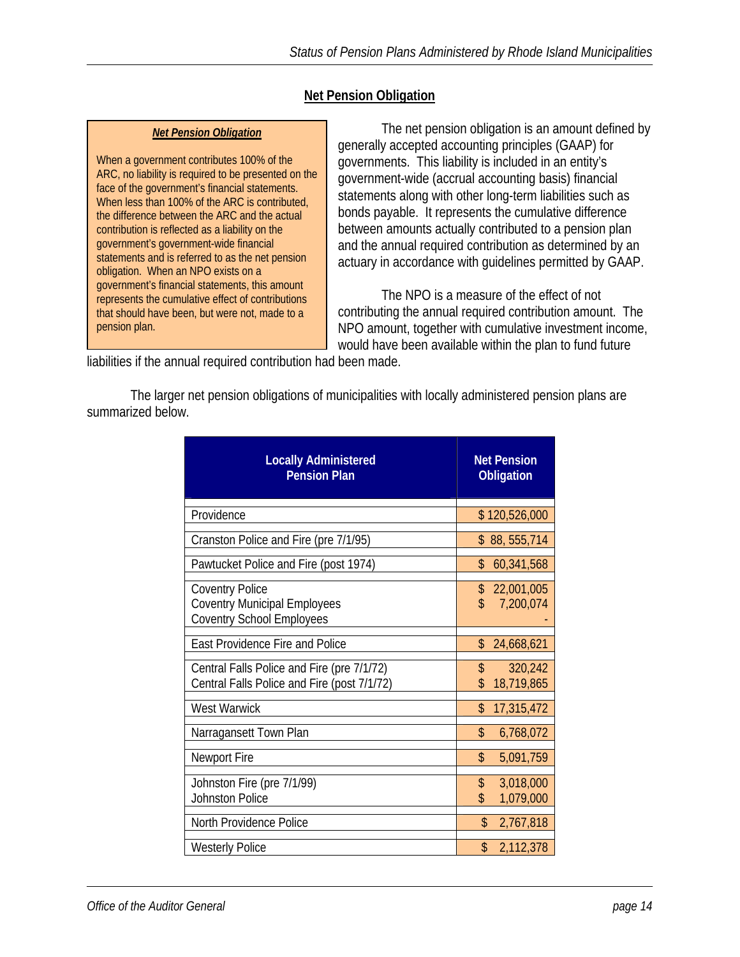## **Net Pension Obligation**

#### *Net Pension Obligation*

When a government contributes 100% of the ARC, no liability is required to be presented on the face of the government's financial statements. When less than 100% of the ARC is contributed, the difference between the ARC and the actual contribution is reflected as a liability on the government's government-wide financial statements and is referred to as the net pension obligation. When an NPO exists on a government's financial statements, this amount represents the cumulative effect of contributions that should have been, but were not, made to a pension plan.

 The net pension obligation is an amount defined by generally accepted accounting principles (GAAP) for governments. This liability is included in an entity's government-wide (accrual accounting basis) financial statements along with other long-term liabilities such as bonds payable. It represents the cumulative difference between amounts actually contributed to a pension plan and the annual required contribution as determined by an actuary in accordance with guidelines permitted by GAAP.

 The NPO is a measure of the effect of not contributing the annual required contribution amount. The NPO amount, together with cumulative investment income, would have been available within the plan to fund future

liabilities if the annual required contribution had been made.

 The larger net pension obligations of municipalities with locally administered pension plans are summarized below.

| <b>Locally Administered</b><br><b>Pension Plan</b>                                                | <b>Net Pension</b><br><b>Obligation</b> |
|---------------------------------------------------------------------------------------------------|-----------------------------------------|
| Providence                                                                                        | \$120,526,000                           |
| Cranston Police and Fire (pre 7/1/95)                                                             | \$88,555,714                            |
| Pawtucket Police and Fire (post 1974)                                                             | 60,341,568<br>\$.                       |
| <b>Coventry Police</b><br><b>Coventry Municipal Employees</b><br><b>Coventry School Employees</b> | \$<br>22,001,005<br>\$<br>7,200,074     |
| <b>East Providence Fire and Police</b>                                                            | \$<br>24,668,621                        |
| Central Falls Police and Fire (pre 7/1/72)<br>Central Falls Police and Fire (post 7/1/72)         | 320,242<br>\$<br>18,719,865             |
| <b>West Warwick</b>                                                                               | \$<br>17,315,472                        |
| Narragansett Town Plan                                                                            | \$<br>6,768,072                         |
| Newport Fire                                                                                      | \$<br>5,091,759                         |
| Johnston Fire (pre 7/1/99)<br><b>Johnston Police</b>                                              | \$<br>3,018,000<br>\$<br>1,079,000      |
| North Providence Police                                                                           | \$<br>2,767,818                         |
| <b>Westerly Police</b>                                                                            | \$<br>2,112,378                         |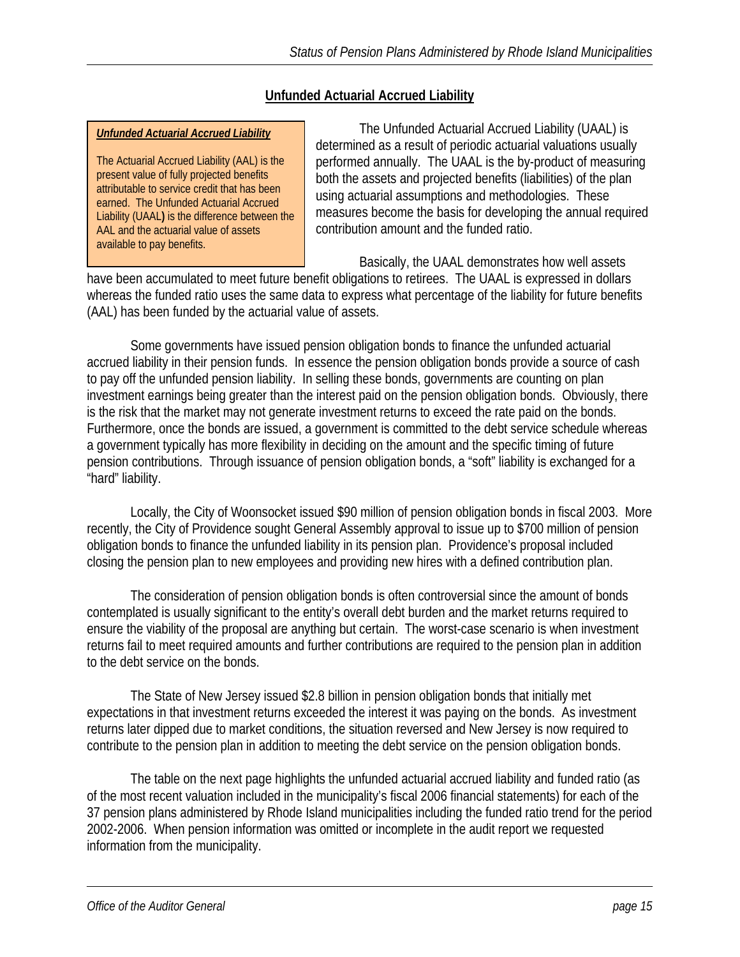## **Unfunded Actuarial Accrued Liability**

#### *Unfunded Actuarial Accrued Liability*

The Actuarial Accrued Liability (AAL) is the present value of fully projected benefits attributable to service credit that has been earned. The Unfunded Actuarial Accrued Liability (UAAL**)** is the difference between the AAL and the actuarial value of assets available to pay benefits.

 The Unfunded Actuarial Accrued Liability (UAAL) is determined as a result of periodic actuarial valuations usually performed annually. The UAAL is the by-product of measuring both the assets and projected benefits (liabilities) of the plan using actuarial assumptions and methodologies. These measures become the basis for developing the annual required contribution amount and the funded ratio.

Basically, the UAAL demonstrates how well assets

have been accumulated to meet future benefit obligations to retirees. The UAAL is expressed in dollars whereas the funded ratio uses the same data to express what percentage of the liability for future benefits (AAL) has been funded by the actuarial value of assets.

Some governments have issued pension obligation bonds to finance the unfunded actuarial accrued liability in their pension funds. In essence the pension obligation bonds provide a source of cash to pay off the unfunded pension liability. In selling these bonds, governments are counting on plan investment earnings being greater than the interest paid on the pension obligation bonds. Obviously, there is the risk that the market may not generate investment returns to exceed the rate paid on the bonds. Furthermore, once the bonds are issued, a government is committed to the debt service schedule whereas a government typically has more flexibility in deciding on the amount and the specific timing of future pension contributions. Through issuance of pension obligation bonds, a "soft" liability is exchanged for a "hard" liability.

Locally, the City of Woonsocket issued \$90 million of pension obligation bonds in fiscal 2003. More recently, the City of Providence sought General Assembly approval to issue up to \$700 million of pension obligation bonds to finance the unfunded liability in its pension plan. Providence's proposal included closing the pension plan to new employees and providing new hires with a defined contribution plan.

The consideration of pension obligation bonds is often controversial since the amount of bonds contemplated is usually significant to the entity's overall debt burden and the market returns required to ensure the viability of the proposal are anything but certain. The worst-case scenario is when investment returns fail to meet required amounts and further contributions are required to the pension plan in addition to the debt service on the bonds.

The State of New Jersey issued \$2.8 billion in pension obligation bonds that initially met expectations in that investment returns exceeded the interest it was paying on the bonds. As investment returns later dipped due to market conditions, the situation reversed and New Jersey is now required to contribute to the pension plan in addition to meeting the debt service on the pension obligation bonds.

 The table on the next page highlights the unfunded actuarial accrued liability and funded ratio (as of the most recent valuation included in the municipality's fiscal 2006 financial statements) for each of the 37 pension plans administered by Rhode Island municipalities including the funded ratio trend for the period 2002-2006. When pension information was omitted or incomplete in the audit report we requested information from the municipality.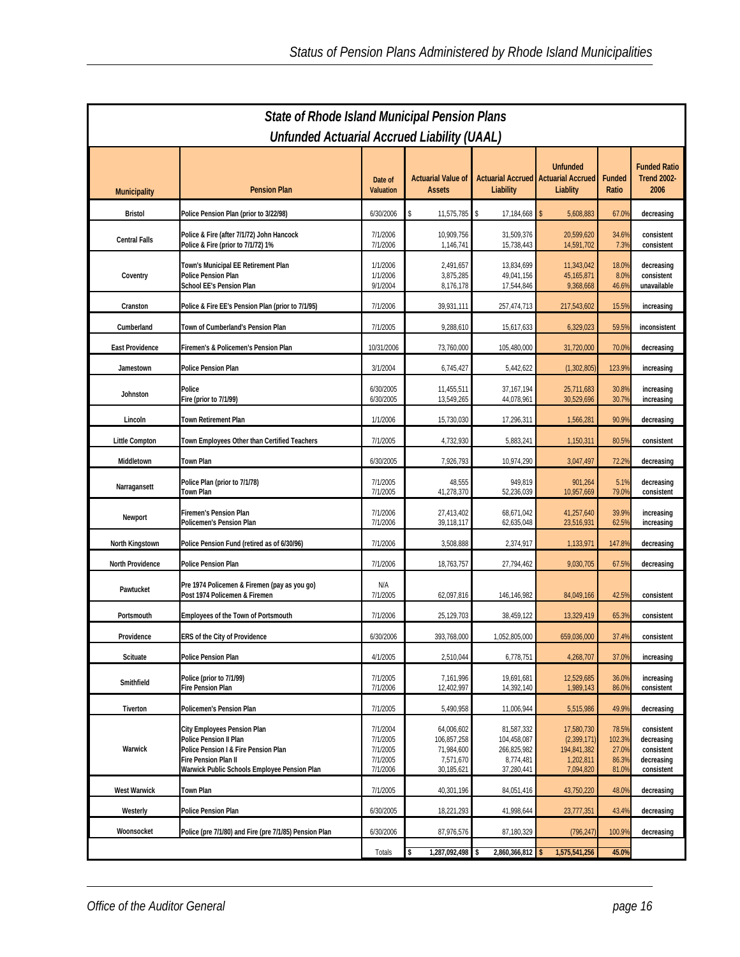|                         | <b>State of Rhode Island Municipal Pension Plans</b><br>Unfunded Actuarial Accrued Liability (UAAL)                                                                   |                                                          |                                                                    |                                                                     |                                                                    |                                            |                                                                    |  |  |
|-------------------------|-----------------------------------------------------------------------------------------------------------------------------------------------------------------------|----------------------------------------------------------|--------------------------------------------------------------------|---------------------------------------------------------------------|--------------------------------------------------------------------|--------------------------------------------|--------------------------------------------------------------------|--|--|
| <b>Municipality</b>     | <b>Pension Plan</b>                                                                                                                                                   | Date of<br><b>Valuation</b>                              | <b>Actuarial Value of</b><br><b>Assets</b>                         | <b>Actuarial Accrued</b><br>Liability                               | <b>Unfunded</b><br><b>Actuarial Accrued</b><br>Liablity            | Funded<br>Ratio                            | <b>Funded Ratio</b><br><b>Trend 2002-</b><br>2006                  |  |  |
| <b>Bristol</b>          | Police Pension Plan (prior to 3/22/98)                                                                                                                                | 6/30/2006                                                | \$<br>11,575,785                                                   | \$<br>17,184,668                                                    | 5,608,883                                                          | 67.09                                      | decreasing                                                         |  |  |
| <b>Central Falls</b>    | Police & Fire (after 7/1/72) John Hancock<br>Police & Fire (prior to 7/1/72) 1%                                                                                       | 7/1/2006<br>7/1/2006                                     | 10,909,756<br>1,146,741                                            | 31,509,376<br>15,738,443                                            | 20,599,620<br>14,591,702                                           | 34.6%<br>7.3%                              | consistent<br>consistent                                           |  |  |
| Coventry                | Town's Municipal EE Retirement Plan<br>Police Pension Plan<br><b>School EE's Pension Plan</b>                                                                         | 1/1/2006<br>1/1/2006<br>9/1/2004                         | 2,491,657<br>3,875,285<br>8,176,178                                | 13,834,699<br>49,041,156<br>17,544,846                              | 11,343,042<br>45, 165, 871<br>9,368,668                            | 18.0%<br>8.0%<br>46.6%                     | decreasing<br>consistent<br>unavailable                            |  |  |
| Cranston                | Police & Fire EE's Pension Plan (prior to 7/1/95)                                                                                                                     | 7/1/2006                                                 | 39,931,111                                                         | 257,474,713                                                         | 217,543,602                                                        | 15.5%                                      | increasing                                                         |  |  |
| Cumberland              | Town of Cumberland's Pension Plan                                                                                                                                     | 7/1/2005                                                 | 9,288,610                                                          | 15,617,633                                                          | 6,329,023                                                          | 59.59                                      | inconsistent                                                       |  |  |
| <b>East Providence</b>  | Firemen's & Policemen's Pension Plan                                                                                                                                  | 10/31/2006                                               | 73,760,000                                                         | 105,480,000                                                         | 31,720,000                                                         | 70.0%                                      | decreasing                                                         |  |  |
| Jamestown               | Police Pension Plan                                                                                                                                                   | 3/1/2004                                                 | 6,745,427                                                          | 5,442,622                                                           | (1,302,805)                                                        | 123.9%                                     | increasing                                                         |  |  |
| Johnston                | Police<br>Fire (prior to 7/1/99)                                                                                                                                      | 6/30/2005<br>6/30/2005                                   | 11,455,511<br>13,549,265                                           | 37,167,194<br>44,078,961                                            | 25,711,683<br>30,529,696                                           | 30.8%<br>30.79                             | increasing<br>increasing                                           |  |  |
| Lincoln                 | <b>Town Retirement Plan</b>                                                                                                                                           | 1/1/2006                                                 | 15,730,030                                                         | 17,296,311                                                          | 1,566,281                                                          | 90.9%                                      | decreasing                                                         |  |  |
| Little Compton          | Town Employees Other than Certified Teachers                                                                                                                          | 7/1/2005                                                 | 4,732,930                                                          | 5,883,241                                                           | 1,150,311                                                          | 80.5%                                      | consistent                                                         |  |  |
| Middletown              | Town Plan                                                                                                                                                             | 6/30/2005                                                | 7,926,793                                                          | 10,974,290                                                          | 3,047,497                                                          | 72.29                                      | decreasing                                                         |  |  |
| Narragansett            | Police Plan (prior to 7/1/78)<br>Town Plan                                                                                                                            | 7/1/2005<br>7/1/2005                                     | 48,555<br>41,278,370                                               | 949,819<br>52,236,039                                               | 901,264<br>10,957,669                                              | 5.1%<br>79.0%                              | decreasing<br>consistent                                           |  |  |
| Newport                 | Firemen's Pension Plan<br>Policemen's Pension Plan                                                                                                                    | 7/1/2006<br>7/1/2006                                     | 27,413,402<br>39,118,117                                           | 68,671,042<br>62,635,048                                            | 41,257,640<br>23,516,931                                           | 39.9%<br>62.59                             | increasing<br>increasing                                           |  |  |
| North Kingstown         | Police Pension Fund (retired as of 6/30/96)                                                                                                                           | 7/1/2006                                                 | 3,508,888                                                          | 2,374,917                                                           | 1,133,971                                                          | 147.89                                     | decreasing                                                         |  |  |
| <b>North Providence</b> | <b>Police Pension Plan</b>                                                                                                                                            | 7/1/2006                                                 | 18,763,757                                                         | 27,794,462                                                          | 9,030,705                                                          | 67.5%                                      | decreasing                                                         |  |  |
| Pawtucket               | Pre 1974 Policemen & Firemen (pay as you go)<br>Post 1974 Policemen & Firemen                                                                                         | N/A<br>7/1/2005                                          | 62,097,816                                                         | 146,146,982                                                         | 84,049,166                                                         | 42.59                                      | consistent                                                         |  |  |
| Portsmouth              | <b>Employees of the Town of Portsmouth</b>                                                                                                                            | 7/1/2006                                                 | 25,129,703                                                         | 38,459,122                                                          | 13,329,419                                                         | 65.3%                                      | consistent                                                         |  |  |
| Providence              | ERS of the City of Providence                                                                                                                                         | 6/30/2006                                                | 393,768,000                                                        | 1,052,805,000                                                       | 659,036,000                                                        | 37.4%                                      | consistent                                                         |  |  |
| Scituate                | Police Pension Plan                                                                                                                                                   | 4/1/2005                                                 | 2,510,044                                                          | 6,778,751                                                           | 4,268,707                                                          | 37.0%                                      | increasing                                                         |  |  |
| Smithfield              | Police (prior to 7/1/99)<br>Fire Pension Plan                                                                                                                         | 7/1/2005<br>7/1/2006                                     | 7,161,996<br>12,402,997                                            | 19,691,681<br>14,392,140                                            | 12,529,685<br>1,989,143                                            | 36.0%<br>86.09                             | increasing<br>consistent                                           |  |  |
| Tiverton                | Policemen's Pension Plan                                                                                                                                              | 7/1/2005                                                 | 5,490,958                                                          | 11,006,944                                                          | 5,515,986                                                          | 49.9%                                      | decreasing                                                         |  |  |
| Warwick                 | City Employees Pension Plan<br>Police Pension II Plan<br>Police Pension I & Fire Pension Plan<br>Fire Pension Plan II<br>Warwick Public Schools Employee Pension Plan | 7/1/2004<br>7/1/2005<br>7/1/2005<br>7/1/2005<br>7/1/2006 | 64,006,602<br>106,857,258<br>71,984,600<br>7,571,670<br>30,185,621 | 81,587,332<br>104,458,087<br>266,825,982<br>8,774,481<br>37,280,441 | 17,580,730<br>(2,399,171)<br>194,841,382<br>1,202,811<br>7,094,820 | 78.5%<br>102.3%<br>27.0%<br>86.3%<br>81.0% | consistent<br>decreasing<br>consistent<br>decreasing<br>consistent |  |  |
| <b>West Warwick</b>     | Town Plan                                                                                                                                                             | 7/1/2005                                                 | 40,301,196                                                         | 84,051,416                                                          | 43,750,220                                                         | 48.09                                      | decreasing                                                         |  |  |
| Westerly                | <b>Police Pension Plan</b>                                                                                                                                            | 6/30/2005                                                | 18,221,293                                                         | 41,998,644                                                          | 23,777,351                                                         | 43.49                                      | decreasing                                                         |  |  |
| Woonsocket              | Police (pre 7/1/80) and Fire (pre 7/1/85) Pension Plan                                                                                                                | 6/30/2006                                                | 87,976,576                                                         | 87,180,329                                                          | (796, 247)                                                         | 100.99                                     | decreasing                                                         |  |  |
|                         |                                                                                                                                                                       | Totals                                                   | \$<br>1,287,092,498 \$                                             | 2,860,366,812                                                       | 1,575,541,256                                                      | 45.0%                                      |                                                                    |  |  |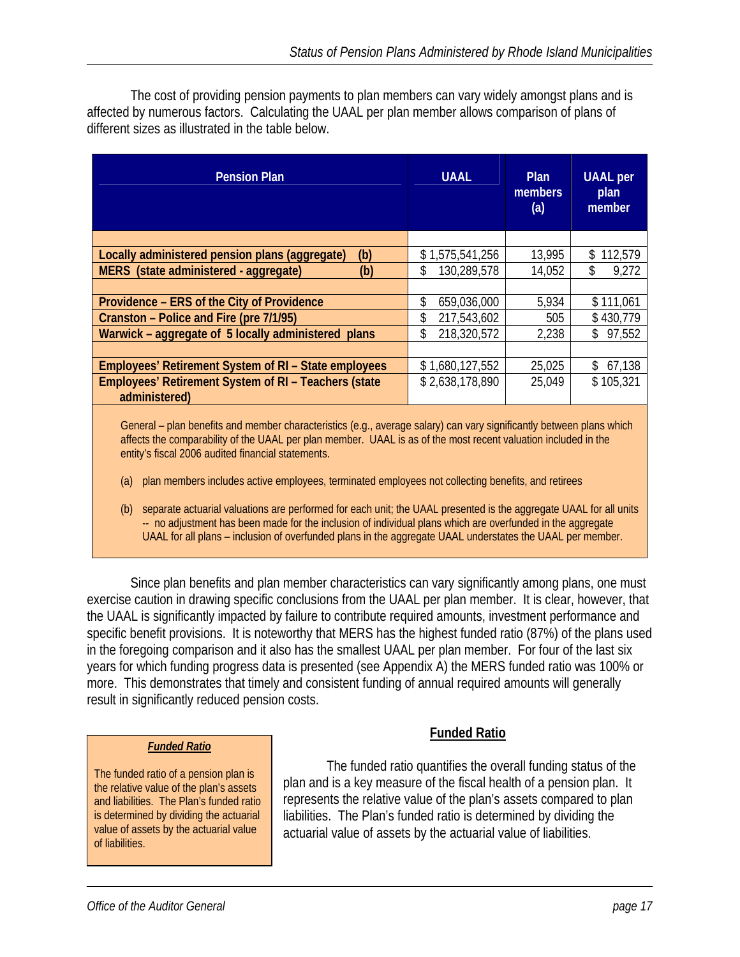The cost of providing pension payments to plan members can vary widely amongst plans and is affected by numerous factors. Calculating the UAAL per plan member allows comparison of plans of different sizes as illustrated in the table below.

| <b>Pension Plan</b>                                                   | <b>UAAL</b>        | <b>Plan</b><br>members<br>(a) | <b>UAAL</b> per<br>plan<br>member |
|-----------------------------------------------------------------------|--------------------|-------------------------------|-----------------------------------|
|                                                                       |                    |                               |                                   |
| Locally administered pension plans (aggregate)<br>(b)                 | \$1,575,541,256    | 13,995                        | 112,579<br>\$                     |
| MERS (state administered - aggregate)<br>(b)                          | 130,289,578<br>\$  | 14,052                        | \$<br>9,272                       |
|                                                                       |                    |                               |                                   |
| Providence – ERS of the City of Providence                            | \$<br>659,036,000  | 5,934                         | \$111,061                         |
| Cranston – Police and Fire (pre 7/1/95)                               | 217,543,602<br>\$. | 505                           | \$430,779                         |
| Warwick - aggregate of 5 locally administered plans                   | 218,320,572<br>\$  | 2,238                         | \$97,552                          |
|                                                                       |                    |                               |                                   |
| <b>Employees' Retirement System of RI - State employees</b>           | \$1,680,127,552    | 25,025                        | \$67,138                          |
| Employees' Retirement System of RI - Teachers (state<br>administered) | \$2,638,178,890    | 25,049                        | \$105,321                         |
|                                                                       |                    |                               |                                   |

General – plan benefits and member characteristics (e.g., average salary) can vary significantly between plans which affects the comparability of the UAAL per plan member. UAAL is as of the most recent valuation included in the entity's fiscal 2006 audited financial statements.

- (a) plan members includes active employees, terminated employees not collecting benefits, and retirees
- (b) separate actuarial valuations are performed for each unit; the UAAL presented is the aggregate UAAL for all units -- no adjustment has been made for the inclusion of individual plans which are overfunded in the aggregate UAAL for all plans – inclusion of overfunded plans in the aggregate UAAL understates the UAAL per member.

 Since plan benefits and plan member characteristics can vary significantly among plans, one must exercise caution in drawing specific conclusions from the UAAL per plan member. It is clear, however, that the UAAL is significantly impacted by failure to contribute required amounts, investment performance and specific benefit provisions. It is noteworthy that MERS has the highest funded ratio (87%) of the plans used in the foregoing comparison and it also has the smallest UAAL per plan member. For four of the last six years for which funding progress data is presented (see Appendix A) the MERS funded ratio was 100% or more. This demonstrates that timely and consistent funding of annual required amounts will generally result in significantly reduced pension costs.

#### *Funded Ratio*

The funded ratio of a pension plan is the relative value of the plan's assets and liabilities. The Plan's funded ratio is determined by dividing the actuarial value of assets by the actuarial value of liabilities.

## **Funded Ratio**

 The funded ratio quantifies the overall funding status of the plan and is a key measure of the fiscal health of a pension plan. It represents the relative value of the plan's assets compared to plan liabilities. The Plan's funded ratio is determined by dividing the actuarial value of assets by the actuarial value of liabilities.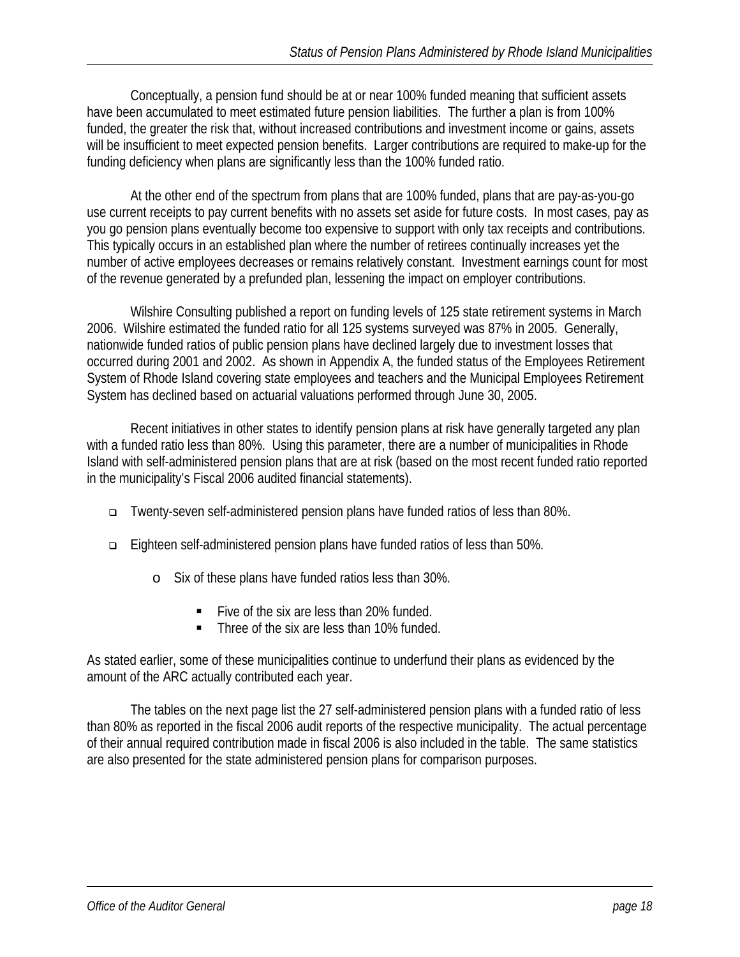Conceptually, a pension fund should be at or near 100% funded meaning that sufficient assets have been accumulated to meet estimated future pension liabilities. The further a plan is from 100% funded, the greater the risk that, without increased contributions and investment income or gains, assets will be insufficient to meet expected pension benefits. Larger contributions are required to make-up for the funding deficiency when plans are significantly less than the 100% funded ratio.

 At the other end of the spectrum from plans that are 100% funded, plans that are pay-as-you-go use current receipts to pay current benefits with no assets set aside for future costs. In most cases, pay as you go pension plans eventually become too expensive to support with only tax receipts and contributions. This typically occurs in an established plan where the number of retirees continually increases yet the number of active employees decreases or remains relatively constant. Investment earnings count for most of the revenue generated by a prefunded plan, lessening the impact on employer contributions.

 Wilshire Consulting published a report on funding levels of 125 state retirement systems in March 2006. Wilshire estimated the funded ratio for all 125 systems surveyed was 87% in 2005. Generally, nationwide funded ratios of public pension plans have declined largely due to investment losses that occurred during 2001 and 2002. As shown in Appendix A, the funded status of the Employees Retirement System of Rhode Island covering state employees and teachers and the Municipal Employees Retirement System has declined based on actuarial valuations performed through June 30, 2005.

 Recent initiatives in other states to identify pension plans at risk have generally targeted any plan with a funded ratio less than 80%. Using this parameter, there are a number of municipalities in Rhode Island with self-administered pension plans that are at risk (based on the most recent funded ratio reported in the municipality's Fiscal 2006 audited financial statements).

- Twenty-seven self-administered pension plans have funded ratios of less than 80%.
- Eighteen self-administered pension plans have funded ratios of less than 50%.
	- o Six of these plans have funded ratios less than 30%.
		- Five of the six are less than 20% funded.
		- Three of the six are less than 10% funded.

As stated earlier, some of these municipalities continue to underfund their plans as evidenced by the amount of the ARC actually contributed each year.

 The tables on the next page list the 27 self-administered pension plans with a funded ratio of less than 80% as reported in the fiscal 2006 audit reports of the respective municipality. The actual percentage of their annual required contribution made in fiscal 2006 is also included in the table. The same statistics are also presented for the state administered pension plans for comparison purposes.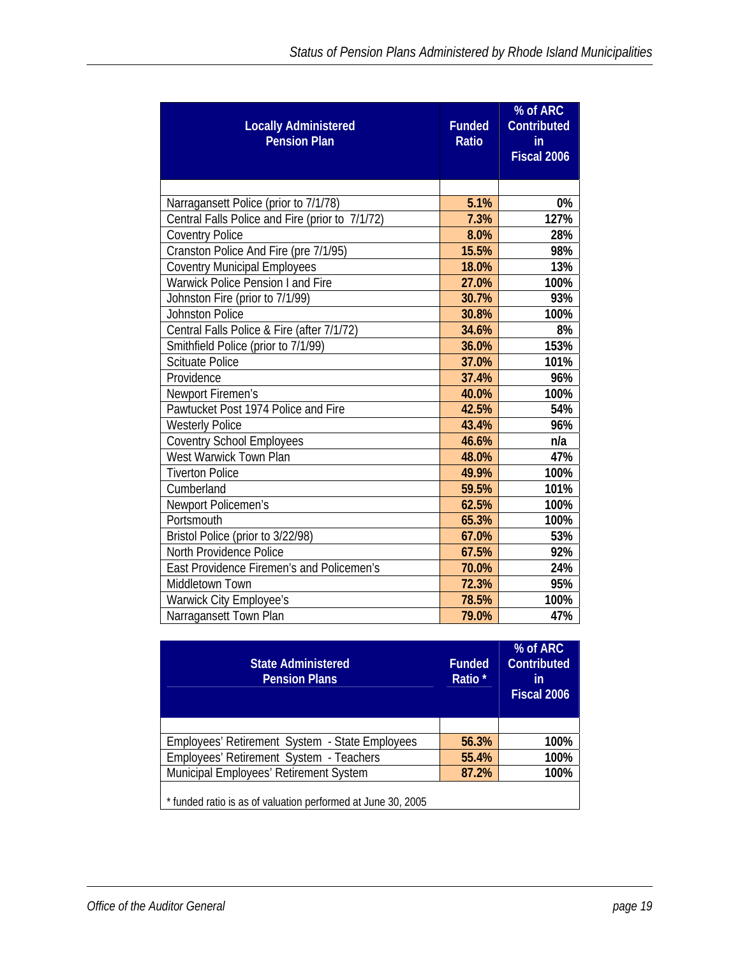| <b>Locally Administered</b><br><b>Pension Plan</b> | <b>Funded</b><br>Ratio | % of ARC<br><b>Contributed</b><br>in<br>Fiscal 2006 |
|----------------------------------------------------|------------------------|-----------------------------------------------------|
|                                                    |                        |                                                     |
| Narragansett Police (prior to 7/1/78)              | 5.1%                   | 0%                                                  |
| Central Falls Police and Fire (prior to 7/1/72)    | 7.3%                   | 127%                                                |
| <b>Coventry Police</b>                             | 8.0%                   | 28%                                                 |
| Cranston Police And Fire (pre 7/1/95)              | 15.5%                  | 98%                                                 |
| <b>Coventry Municipal Employees</b>                | 18.0%                  | 13%                                                 |
| <b>Warwick Police Pension I and Fire</b>           | 27.0%                  | 100%                                                |
| Johnston Fire (prior to 7/1/99)                    | 30.7%                  | 93%                                                 |
| <b>Johnston Police</b>                             | 30.8%                  | 100%                                                |
| Central Falls Police & Fire (after 7/1/72)         | 34.6%                  | 8%                                                  |
| Smithfield Police (prior to 7/1/99)                | 36.0%                  | 153%                                                |
| <b>Scituate Police</b>                             | 37.0%                  | 101%                                                |
| Providence                                         | 37.4%                  | 96%                                                 |
| Newport Firemen's                                  | 40.0%                  | 100%                                                |
| Pawtucket Post 1974 Police and Fire                | 42.5%                  | 54%                                                 |
| <b>Westerly Police</b>                             | 43.4%                  | 96%                                                 |
| <b>Coventry School Employees</b>                   | 46.6%                  | n/a                                                 |
| West Warwick Town Plan                             | 48.0%                  | 47%                                                 |
| <b>Tiverton Police</b>                             | 49.9%                  | 100%                                                |
| Cumberland                                         | 59.5%                  | 101%                                                |
| Newport Policemen's                                | 62.5%                  | 100%                                                |
| Portsmouth                                         | 65.3%                  | 100%                                                |
| Bristol Police (prior to 3/22/98)                  | 67.0%                  | 53%                                                 |
| North Providence Police                            | 67.5%                  | 92%                                                 |
| East Providence Firemen's and Policemen's          | 70.0%                  | 24%                                                 |
| Middletown Town                                    | 72.3%                  | 95%                                                 |
| Warwick City Employee's                            | 78.5%                  | 100%                                                |
| Narragansett Town Plan                             | 79.0%                  | 47%                                                 |

| <b>State Administered</b><br><b>Pension Plans</b>            | <b>Funded</b><br>Ratio <sup>*</sup> | % of ARC<br><b>Contributed</b><br>in<br>Fiscal 2006 |
|--------------------------------------------------------------|-------------------------------------|-----------------------------------------------------|
|                                                              |                                     |                                                     |
| Employees' Retirement System - State Employees               | 56.3%                               | 100%                                                |
| Employees' Retirement System - Teachers                      | 55.4%                               | 100%                                                |
| Municipal Employees' Retirement System                       | 87.2%                               | 100%                                                |
| * funded ratio is as of valuation performed at June 30, 2005 |                                     |                                                     |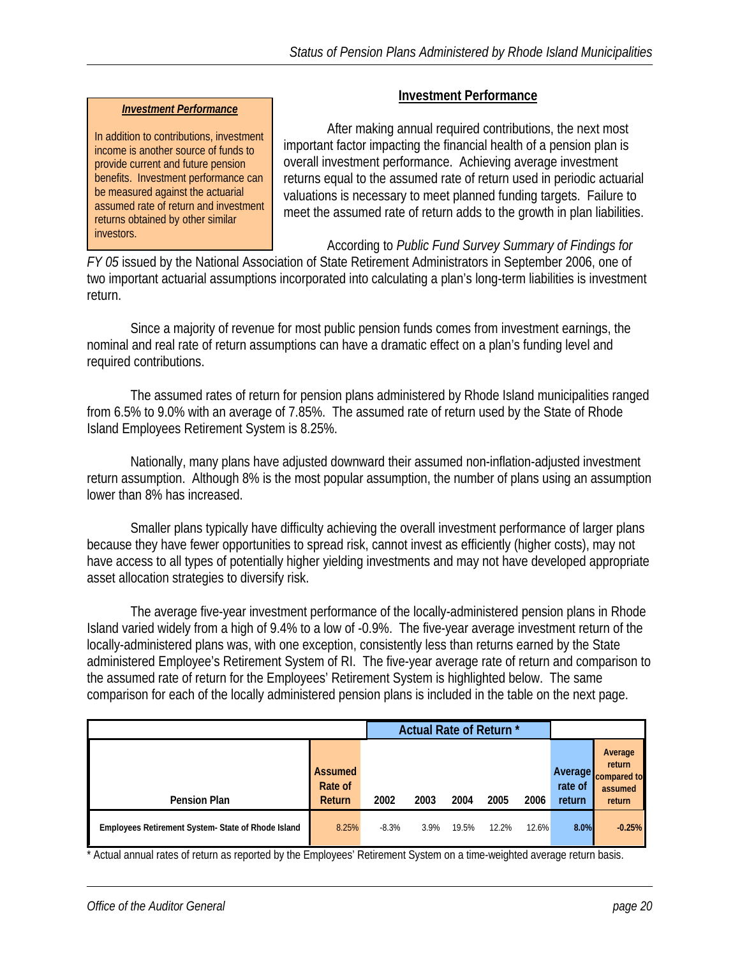#### *Investment Performance*

In addition to contributions, investment income is another source of funds to provide current and future pension benefits. Investment performance can be measured against the actuarial assumed rate of return and investment returns obtained by other similar investors.

#### **Investment Performance**

 After making annual required contributions, the next most important factor impacting the financial health of a pension plan is overall investment performance. Achieving average investment returns equal to the assumed rate of return used in periodic actuarial valuations is necessary to meet planned funding targets. Failure to meet the assumed rate of return adds to the growth in plan liabilities.

According to *Public Fund Survey Summary of Findings for* 

*FY 05* issued by the National Association of State Retirement Administrators in September 2006, one of two important actuarial assumptions incorporated into calculating a plan's long-term liabilities is investment return.

 Since a majority of revenue for most public pension funds comes from investment earnings, the nominal and real rate of return assumptions can have a dramatic effect on a plan's funding level and required contributions.

 The assumed rates of return for pension plans administered by Rhode Island municipalities ranged from 6.5% to 9.0% with an average of 7.85%. The assumed rate of return used by the State of Rhode Island Employees Retirement System is 8.25%.

 Nationally, many plans have adjusted downward their assumed non-inflation-adjusted investment return assumption. Although 8% is the most popular assumption, the number of plans using an assumption lower than 8% has increased.

Smaller plans typically have difficulty achieving the overall investment performance of larger plans because they have fewer opportunities to spread risk, cannot invest as efficiently (higher costs), may not have access to all types of potentially higher yielding investments and may not have developed appropriate asset allocation strategies to diversify risk.

The average five-year investment performance of the locally-administered pension plans in Rhode Island varied widely from a high of 9.4% to a low of -0.9%. The five-year average investment return of the locally-administered plans was, with one exception, consistently less than returns earned by the State administered Employee's Retirement System of RI. The five-year average rate of return and comparison to the assumed rate of return for the Employees' Retirement System is highlighted below. The same comparison for each of the locally administered pension plans is included in the table on the next page.

|                                                   |                                     |         | Actual Rate of Return* |       |       |       |                                     |                                                       |
|---------------------------------------------------|-------------------------------------|---------|------------------------|-------|-------|-------|-------------------------------------|-------------------------------------------------------|
| <b>Pension Plan</b>                               | <b>Assumed</b><br>Rate of<br>Return | 2002    | 2003                   | 2004  | 2005  | 2006  | <b>Average</b><br>rate of<br>return | Average<br>return<br>compared to<br>assumed<br>return |
| Employees Retirement System-State of Rhode Island | 8.25%                               | $-8.3%$ | 3.9%                   | 19.5% | 12.2% | 12.6% | 8.0%                                | $-0.25%$                                              |

\* Actual annual rates of return as reported by the Employees' Retirement System on a time-weighted average return basis.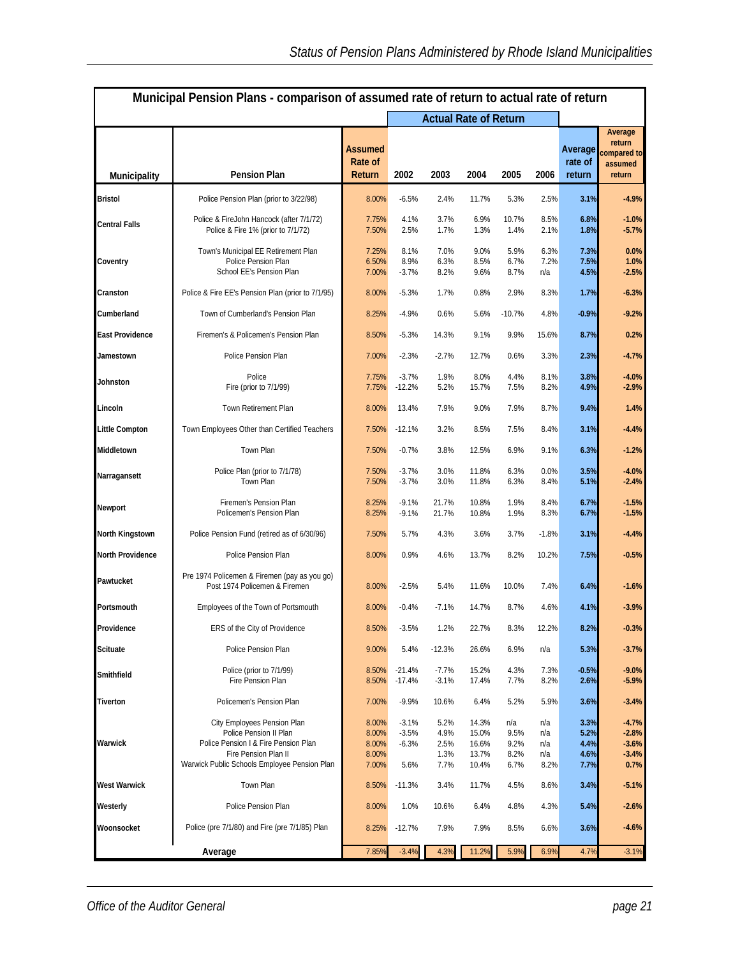| Municipal Pension Plans - comparison of assumed rate of return to actual rate of return |                                                                                                                                                                       |                                           |                                       |                                      |                                           |                                     |                                  |                                      |                                                       |  |  |
|-----------------------------------------------------------------------------------------|-----------------------------------------------------------------------------------------------------------------------------------------------------------------------|-------------------------------------------|---------------------------------------|--------------------------------------|-------------------------------------------|-------------------------------------|----------------------------------|--------------------------------------|-------------------------------------------------------|--|--|
|                                                                                         |                                                                                                                                                                       |                                           |                                       | <b>Actual Rate of Return</b>         |                                           |                                     |                                  |                                      |                                                       |  |  |
| Municipality                                                                            | <b>Pension Plan</b>                                                                                                                                                   | Assumed<br>Rate of<br>Return              | 2002                                  | 2003                                 | 2004                                      | 2005                                | 2006                             | Average<br>rate of<br>return         | Average<br>return<br>compared to<br>assumed<br>return |  |  |
| <b>Bristol</b>                                                                          | Police Pension Plan (prior to 3/22/98)                                                                                                                                | 8.00%                                     | $-6.5%$                               | 2.4%                                 | 11.7%                                     | 5.3%                                | 2.5%                             | 3.1%                                 | $-4.9%$                                               |  |  |
| <b>Central Falls</b>                                                                    | Police & FireJohn Hancock (after 7/1/72)<br>Police & Fire 1% (prior to 7/1/72)                                                                                        | 7.75%<br>7.50%                            | 4.1%<br>2.5%                          | 3.7%<br>1.7%                         | 6.9%<br>1.3%                              | 10.7%<br>1.4%                       | 8.5%<br>2.1%                     | 6.8%<br>1.8%                         | $-1.0%$<br>$-5.7%$                                    |  |  |
| Coventry                                                                                | Town's Municipal EE Retirement Plan<br>Police Pension Plan<br>School EE's Pension Plan                                                                                | 7.25%<br>6.50%<br>7.00%                   | 8.1%<br>8.9%<br>$-3.7%$               | 7.0%<br>6.3%<br>8.2%                 | 9.0%<br>8.5%<br>9.6%                      | 5.9%<br>6.7%<br>8.7%                | 6.3%<br>7.2%<br>n/a              | 7.3%<br>7.5%<br>4.5%                 | 0.0%<br>1.0%<br>$-2.5%$                               |  |  |
| Cranston                                                                                | Police & Fire EE's Pension Plan (prior to 7/1/95)                                                                                                                     | 8.00%                                     | $-5.3%$                               | 1.7%                                 | 0.8%                                      | 2.9%                                | 8.3%                             | 1.7%                                 | $-6.3%$                                               |  |  |
| Cumberland                                                                              | Town of Cumberland's Pension Plan                                                                                                                                     | 8.25%                                     | $-4.9%$                               | 0.6%                                 | 5.6%                                      | $-10.7%$                            | 4.8%                             | $-0.9%$                              | $-9.2%$                                               |  |  |
| <b>East Providence</b>                                                                  | Firemen's & Policemen's Pension Plan                                                                                                                                  | 8.50%                                     | $-5.3%$                               | 14.3%                                | 9.1%                                      | 9.9%                                | 15.6%                            | 8.7%                                 | 0.2%                                                  |  |  |
| Jamestown                                                                               | Police Pension Plan                                                                                                                                                   | 7.00%                                     | $-2.3%$                               | $-2.7%$                              | 12.7%                                     | 0.6%                                | 3.3%                             | 2.3%                                 | $-4.7%$                                               |  |  |
| Johnston                                                                                | Police<br>Fire (prior to 7/1/99)                                                                                                                                      | 7.75%<br>7.75%                            | $-3.7%$<br>$-12.2%$                   | 1.9%<br>5.2%                         | 8.0%<br>15.7%                             | 4.4%<br>7.5%                        | 8.1%<br>8.2%                     | 3.8%<br>4.9%                         | $-4.0%$<br>$-2.9%$                                    |  |  |
| Lincoln                                                                                 | Town Retirement Plan                                                                                                                                                  | 8.00%                                     | 13.4%                                 | 7.9%                                 | 9.0%                                      | 7.9%                                | 8.7%                             | 9.4%                                 | 1.4%                                                  |  |  |
| <b>Little Compton</b>                                                                   | Town Employees Other than Certified Teachers                                                                                                                          | 7.50%                                     | $-12.1%$                              | 3.2%                                 | 8.5%                                      | 7.5%                                | 8.4%                             | 3.1%                                 | $-4.4%$                                               |  |  |
| Middletown                                                                              | Town Plan                                                                                                                                                             | 7.50%                                     | $-0.7%$                               | 3.8%                                 | 12.5%                                     | 6.9%                                | 9.1%                             | 6.3%                                 | $-1.2%$                                               |  |  |
| Narragansett                                                                            | Police Plan (prior to 7/1/78)<br>Town Plan                                                                                                                            | 7.50%<br>7.50%                            | $-3.7%$<br>$-3.7%$                    | 3.0%<br>3.0%                         | 11.8%<br>11.8%                            | 6.3%<br>6.3%                        | 0.0%<br>8.4%                     | 3.5%<br>5.1%                         | $-4.0%$<br>$-2.4%$                                    |  |  |
| Newport                                                                                 | Firemen's Pension Plan<br>Policemen's Pension Plan                                                                                                                    | 8.25%<br>8.25%                            | $-9.1%$<br>$-9.1%$                    | 21.7%<br>21.7%                       | 10.8%<br>10.8%                            | 1.9%<br>1.9%                        | 8.4%<br>8.3%                     | 6.7%<br>6.7%                         | $-1.5%$<br>$-1.5%$                                    |  |  |
| North Kingstown                                                                         | Police Pension Fund (retired as of 6/30/96)                                                                                                                           | 7.50%                                     | 5.7%                                  | 4.3%                                 | 3.6%                                      | 3.7%                                | $-1.8%$                          | 3.1%                                 | $-4.4%$                                               |  |  |
| North Providence                                                                        | Police Pension Plan                                                                                                                                                   | 8.00%                                     | 0.9%                                  | 4.6%                                 | 13.7%                                     | 8.2%                                | 10.2%                            | 7.5%                                 | $-0.5%$                                               |  |  |
| Pawtucket                                                                               | Pre 1974 Policemen & Firemen (pay as you go)<br>Post 1974 Policemen & Firemen                                                                                         | 8.00%                                     | $-2.5%$                               | 5.4%                                 | 11.6%                                     | 10.0%                               | 7.4%                             | 6.4%                                 | $-1.6%$                                               |  |  |
| Portsmouth                                                                              | Employees of the Town of Portsmouth                                                                                                                                   | 8.00%                                     | $-0.4%$                               | $-7.1%$                              | 14.7%                                     | 8.7%                                | 4.6%                             | 4.1%                                 | $-3.9%$                                               |  |  |
| Providence                                                                              | ERS of the City of Providence                                                                                                                                         | 8.50%                                     | $-3.5%$                               | 1.2%                                 | 22.7%                                     | 8.3%                                | 12.2%                            | 8.2%                                 | $-0.3%$                                               |  |  |
| <b>Scituate</b>                                                                         | Police Pension Plan                                                                                                                                                   | 9.00%                                     | 5.4%                                  | $-12.3%$                             | 26.6%                                     | 6.9%                                | n/a                              | 5.3%                                 | $-3.7%$                                               |  |  |
| Smithfield                                                                              | Police (prior to 7/1/99)<br>Fire Pension Plan                                                                                                                         | 8.50%<br>8.50%                            | $-21.4%$<br>$-17.4%$                  | $-7.7%$<br>$-3.1%$                   | 15.2%<br>17.4%                            | 4.3%<br>7.7%                        | 7.3%<br>8.2%                     | $-0.5%$<br>2.6%                      | $-9.0%$<br>$-5.9%$                                    |  |  |
| Tiverton                                                                                | Policemen's Pension Plan                                                                                                                                              | 7.00%                                     | $-9.9%$                               | 10.6%                                | 6.4%                                      | 5.2%                                | 5.9%                             | 3.6%                                 | $-3.4%$                                               |  |  |
| Warwick                                                                                 | City Employees Pension Plan<br>Police Pension II Plan<br>Police Pension I & Fire Pension Plan<br>Fire Pension Plan II<br>Warwick Public Schools Employee Pension Plan | 8.00%<br>8.00%<br>8.00%<br>8.00%<br>7.00% | $-3.1%$<br>$-3.5%$<br>$-6.3%$<br>5.6% | 5.2%<br>4.9%<br>2.5%<br>1.3%<br>7.7% | 14.3%<br>15.0%<br>16.6%<br>13.7%<br>10.4% | n/a<br>9.5%<br>9.2%<br>8.2%<br>6.7% | n/a<br>n/a<br>n/a<br>n/a<br>8.2% | 3.3%<br>5.2%<br>4.4%<br>4.6%<br>7.7% | $-4.7%$<br>$-2.8%$<br>$-3.6%$<br>$-3.4%$<br>0.7%      |  |  |
| <b>West Warwick</b>                                                                     | Town Plan                                                                                                                                                             | 8.50%                                     | $-11.3%$                              | 3.4%                                 | 11.7%                                     | 4.5%                                | 8.6%                             | 3.4%                                 | $-5.1%$                                               |  |  |
| Westerly                                                                                | Police Pension Plan                                                                                                                                                   | 8.00%                                     | 1.0%                                  | 10.6%                                | 6.4%                                      | 4.8%                                | 4.3%                             | 5.4%                                 | $-2.6%$                                               |  |  |
| Woonsocket                                                                              | Police (pre 7/1/80) and Fire (pre 7/1/85) Plan                                                                                                                        | 8.25%                                     | $-12.7%$                              | 7.9%                                 | 7.9%                                      | 8.5%                                | 6.6%                             | 3.6%                                 | $-4.6%$                                               |  |  |
|                                                                                         | 7.85%                                                                                                                                                                 | $-3.4%$                                   | 4.3%                                  | 11.2%                                | 5.9%                                      | 6.9%                                | 4.7%                             | $-3.1%$                              |                                                       |  |  |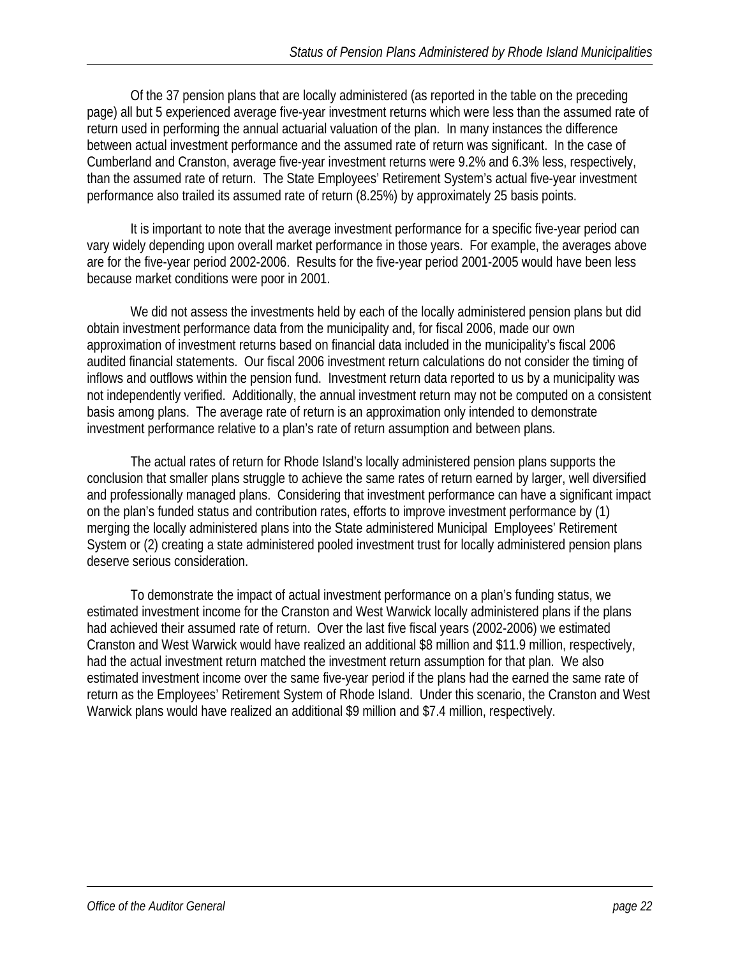Of the 37 pension plans that are locally administered (as reported in the table on the preceding page) all but 5 experienced average five-year investment returns which were less than the assumed rate of return used in performing the annual actuarial valuation of the plan. In many instances the difference between actual investment performance and the assumed rate of return was significant. In the case of Cumberland and Cranston, average five-year investment returns were 9.2% and 6.3% less, respectively, than the assumed rate of return. The State Employees' Retirement System's actual five-year investment performance also trailed its assumed rate of return (8.25%) by approximately 25 basis points.

 It is important to note that the average investment performance for a specific five-year period can vary widely depending upon overall market performance in those years. For example, the averages above are for the five-year period 2002-2006. Results for the five-year period 2001-2005 would have been less because market conditions were poor in 2001.

 We did not assess the investments held by each of the locally administered pension plans but did obtain investment performance data from the municipality and, for fiscal 2006, made our own approximation of investment returns based on financial data included in the municipality's fiscal 2006 audited financial statements. Our fiscal 2006 investment return calculations do not consider the timing of inflows and outflows within the pension fund. Investment return data reported to us by a municipality was not independently verified. Additionally, the annual investment return may not be computed on a consistent basis among plans. The average rate of return is an approximation only intended to demonstrate investment performance relative to a plan's rate of return assumption and between plans.

 The actual rates of return for Rhode Island's locally administered pension plans supports the conclusion that smaller plans struggle to achieve the same rates of return earned by larger, well diversified and professionally managed plans. Considering that investment performance can have a significant impact on the plan's funded status and contribution rates, efforts to improve investment performance by (1) merging the locally administered plans into the State administered Municipal Employees' Retirement System or (2) creating a state administered pooled investment trust for locally administered pension plans deserve serious consideration.

 To demonstrate the impact of actual investment performance on a plan's funding status, we estimated investment income for the Cranston and West Warwick locally administered plans if the plans had achieved their assumed rate of return. Over the last five fiscal years (2002-2006) we estimated Cranston and West Warwick would have realized an additional \$8 million and \$11.9 million, respectively, had the actual investment return matched the investment return assumption for that plan. We also estimated investment income over the same five-year period if the plans had the earned the same rate of return as the Employees' Retirement System of Rhode Island. Under this scenario, the Cranston and West Warwick plans would have realized an additional \$9 million and \$7.4 million, respectively.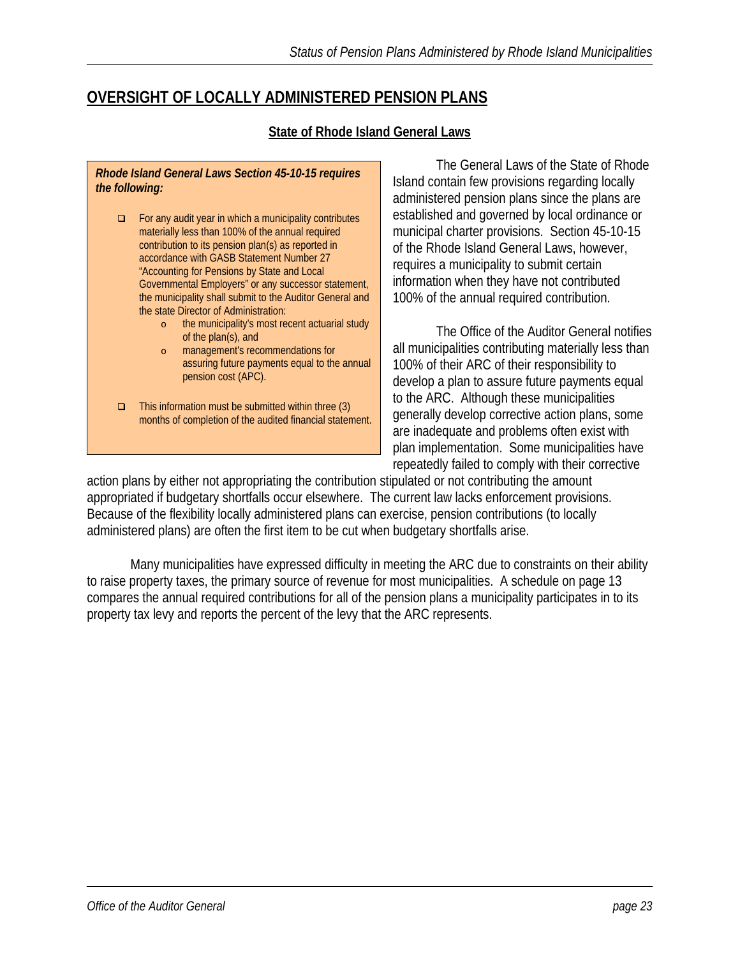## **OVERSIGHT OF LOCALLY ADMINISTERED PENSION PLANS**

#### **State of Rhode Island General Laws**

*Rhode Island General Laws Section 45-10-15 requires the following:* 

- For any audit year in which a municipality contributes materially less than 100% of the annual required contribution to its pension plan(s) as reported in accordance with GASB Statement Number 27 "Accounting for Pensions by State and Local Governmental Employers" or any successor statement, the municipality shall submit to the Auditor General and the state Director of Administration:
	- o the municipality's most recent actuarial study of the plan(s), and
	- o management's recommendations for assuring future payments equal to the annual pension cost (APC).
- $\Box$  This information must be submitted within three (3) months of completion of the audited financial statement.

 The General Laws of the State of Rhode Island contain few provisions regarding locally administered pension plans since the plans are established and governed by local ordinance or municipal charter provisions. Section 45-10-15 of the Rhode Island General Laws, however, requires a municipality to submit certain information when they have not contributed 100% of the annual required contribution.

 The Office of the Auditor General n otifies all municipalities contributing materially less than 100% of their ARC of their responsibi lity to develop a plan to assure future payments equal to the ARC. Although these municipalities generally develop corrective action plans, some are inadequate and problems often exist with plan implementation. Some municipalit ies have repeatedly failed to comply with their corrective

action plans by either not appropriating the contribution stipulated or not contributing the amount appropriated if budgetary shortfalls occur elsewhere. The current law lacks enforcement provisions. Because of the flexibility locally administered plans can exercise, pension contributions (to locally administered plans) are often the first item to be cut when budgetary shortfalls arise.

 Many municipalities have expressed difficulty in meeting the ARC due to constraints on their ability to raise property taxes, the primary source of revenue for most municipalities. A schedule on page 13 compares the annual required contributions for all of the pension plans a municipality participates in to its property tax levy and reports the percent of the levy that the ARC represents.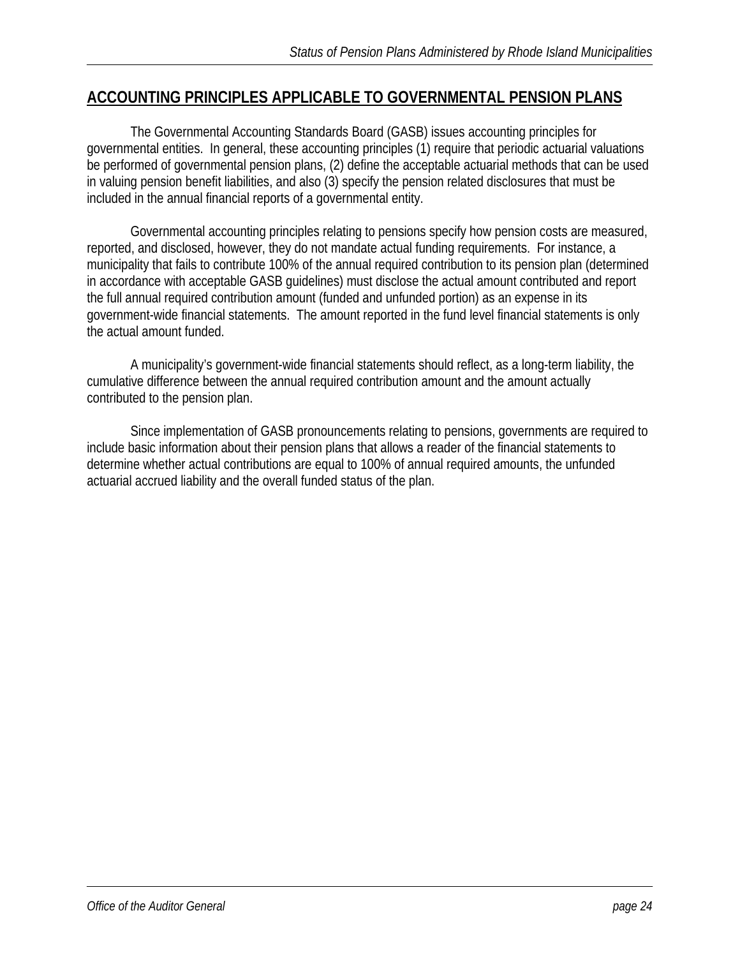## **ACCOUNTING PRINCIPLES APPLICABLE TO GOVERNMENTAL PENSION PLANS**

 The Governmental Accounting Standards Board (GASB) issues accounting principles for governmental entities. In general, these accounting principles (1) require that periodic actuarial valuations be performed of governmental pension plans, (2) define the acceptable actuarial methods that can be used in valuing pension benefit liabilities, and also (3) specify the pension related disclosures that must be included in the annual financial reports of a governmental entity.

 Governmental accounting principles relating to pensions specify how pension costs are measured, reported, and disclosed, however, they do not mandate actual funding requirements. For instance, a municipality that fails to contribute 100% of the annual required contribution to its pension plan (determined in accordance with acceptable GASB guidelines) must disclose the actual amount contributed and report the full annual required contribution amount (funded and unfunded portion) as an expense in its government-wide financial statements. The amount reported in the fund level financial statements is only the actual amount funded.

 A municipality's government-wide financial statements should reflect, as a long-term liability, the cumulative difference between the annual required contribution amount and the amount actually contributed to the pension plan.

 Since implementation of GASB pronouncements relating to pensions, governments are required to include basic information about their pension plans that allows a reader of the financial statements to determine whether actual contributions are equal to 100% of annual required amounts, the unfunded actuarial accrued liability and the overall funded status of the plan.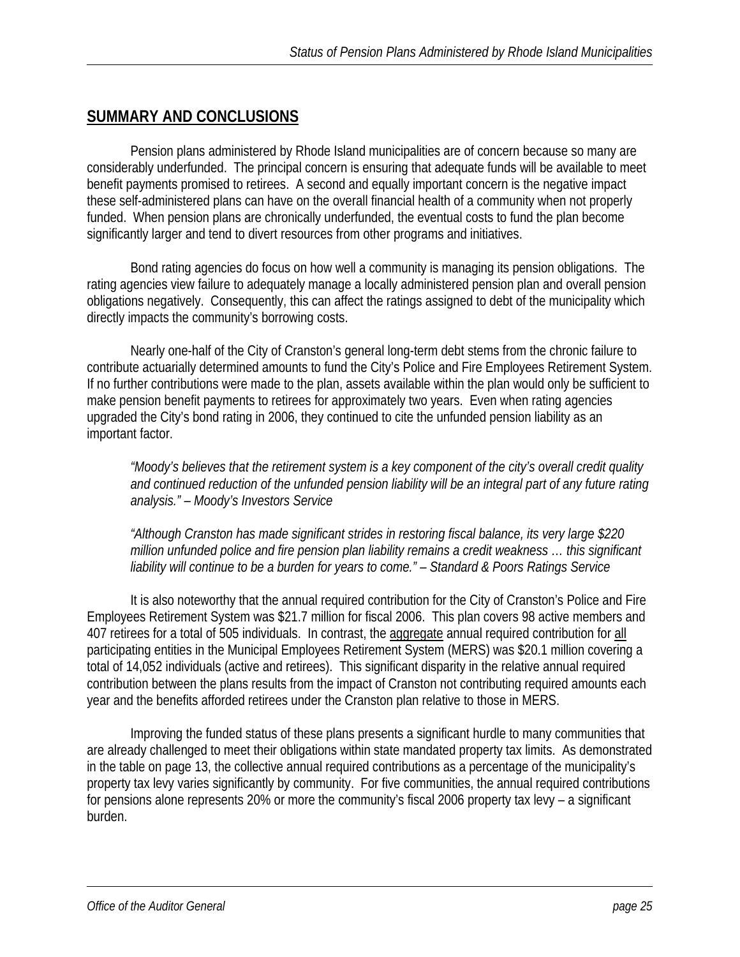## **SUMMARY AND CONCLUSIONS**

 Pension plans administered by Rhode Island municipalities are of concern because so many are considerably underfunded. The principal concern is ensuring that adequate funds will be available to meet benefit payments promised to retirees. A second and equally important concern is the negative impact these self-administered plans can have on the overall financial health of a community when not properly funded. When pension plans are chronically underfunded, the eventual costs to fund the plan become significantly larger and tend to divert resources from other programs and initiatives.

 Bond rating agencies do focus on how well a community is managing its pension obligations. The rating agencies view failure to adequately manage a locally administered pension plan and overall pension obligations negatively. Consequently, this can affect the ratings assigned to debt of the municipality which directly impacts the community's borrowing costs.

 Nearly one-half of the City of Cranston's general long-term debt stems from the chronic failure to contribute actuarially determined amounts to fund the City's Police and Fire Employees Retirement System. If no further contributions were made to the plan, assets available within the plan would only be sufficient to make pension benefit payments to retirees for approximately two years. Even when rating agencies upgraded the City's bond rating in 2006, they continued to cite the unfunded pension liability as an important factor.

*"Moody's believes that the retirement system is a key component of the city's overall credit quality and continued reduction of the unfunded pension liability will be an integral part of any future rating analysis." – Moody's Investors Service* 

*"Although Cranston has made significant strides in restoring fiscal balance, its very large \$220 million unfunded police and fire pension plan liability remains a credit weakness … this significant liability will continue to be a burden for years to come." – Standard & Poors Ratings Service* 

 It is also noteworthy that the annual required contribution for the City of Cranston's Police and Fire Employees Retirement System was \$21.7 million for fiscal 2006. This plan covers 98 active members and 407 retirees for a total of 505 individuals. In contrast, the aggregate annual required contribution for all participating entities in the Municipal Employees Retirement System (MERS) was \$20.1 million covering a total of 14,052 individuals (active and retirees). This significant disparity in the relative annual required contribution between the plans results from the impact of Cranston not contributing required amounts each year and the benefits afforded retirees under the Cranston plan relative to those in MERS.

 Improving the funded status of these plans presents a significant hurdle to many communities that are already challenged to meet their obligations within state mandated property tax limits. As demonstrated in the table on page 13, the collective annual required contributions as a percentage of the municipality's property tax levy varies significantly by community. For five communities, the annual required contributions for pensions alone represents 20% or more the community's fiscal 2006 property tax levy – a significant burden.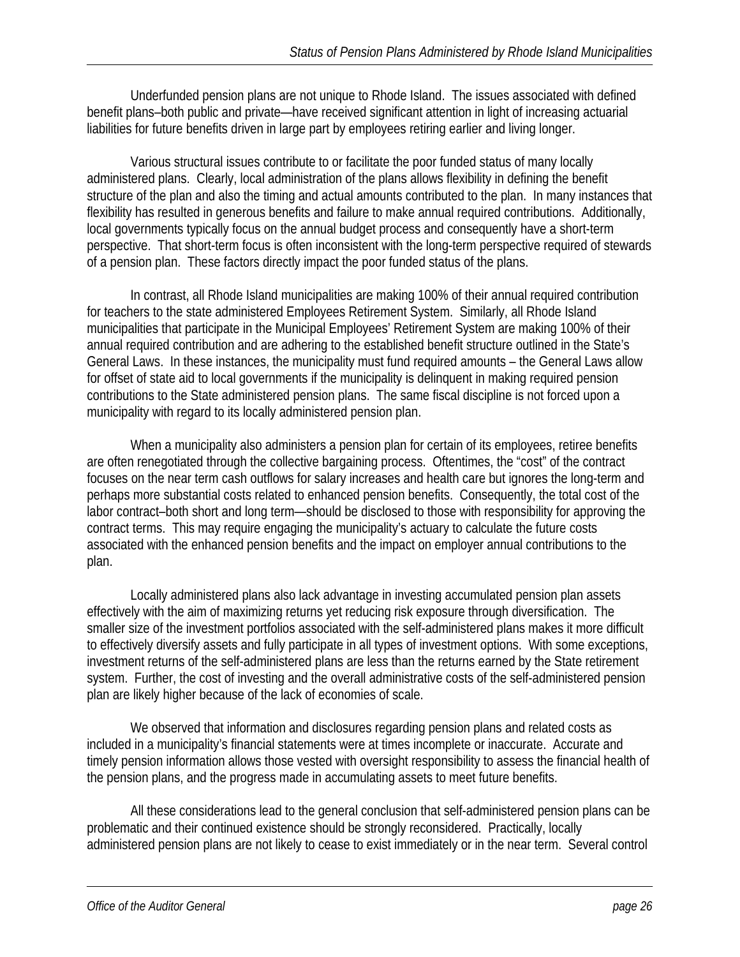Underfunded pension plans are not unique to Rhode Island. The issues associated with defined benefit plans–both public and private—have received significant attention in light of increasing actuarial liabilities for future benefits driven in large part by employees retiring earlier and living longer.

 Various structural issues contribute to or facilitate the poor funded status of many locally administered plans. Clearly, local administration of the plans allows flexibility in defining the benefit structure of the plan and also the timing and actual amounts contributed to the plan. In many instances that flexibility has resulted in generous benefits and failure to make annual required contributions. Additionally, local governments typically focus on the annual budget process and consequently have a short-term perspective. That short-term focus is often inconsistent with the long-term perspective required of stewards of a pension plan. These factors directly impact the poor funded status of the plans.

 In contrast, all Rhode Island municipalities are making 100% of their annual required contribution for teachers to the state administered Employees Retirement System. Similarly, all Rhode Island municipalities that participate in the Municipal Employees' Retirement System are making 100% of their annual required contribution and are adhering to the established benefit structure outlined in the State's General Laws. In these instances, the municipality must fund required amounts – the General Laws allow for offset of state aid to local governments if the municipality is delinquent in making required pension contributions to the State administered pension plans. The same fiscal discipline is not forced upon a municipality with regard to its locally administered pension plan.

When a municipality also administers a pension plan for certain of its employees, retiree benefits are often renegotiated through the collective bargaining process. Oftentimes, the "cost" of the contract focuses on the near term cash outflows for salary increases and health care but ignores the long-term and perhaps more substantial costs related to enhanced pension benefits. Consequently, the total cost of the labor contract–both short and long term—should be disclosed to those with responsibility for approving the contract terms. This may require engaging the municipality's actuary to calculate the future costs associated with the enhanced pension benefits and the impact on employer annual contributions to the plan.

 Locally administered plans also lack advantage in investing accumulated pension plan assets effectively with the aim of maximizing returns yet reducing risk exposure through diversification. The smaller size of the investment portfolios associated with the self-administered plans makes it more difficult to effectively diversify assets and fully participate in all types of investment options. With some exceptions, investment returns of the self-administered plans are less than the returns earned by the State retirement system. Further, the cost of investing and the overall administrative costs of the self-administered pension plan are likely higher because of the lack of economies of scale.

 We observed that information and disclosures regarding pension plans and related costs as included in a municipality's financial statements were at times incomplete or inaccurate. Accurate and timely pension information allows those vested with oversight responsibility to assess the financial health of the pension plans, and the progress made in accumulating assets to meet future benefits.

 All these considerations lead to the general conclusion that self-administered pension plans can be problematic and their continued existence should be strongly reconsidered. Practically, locally administered pension plans are not likely to cease to exist immediately or in the near term. Several control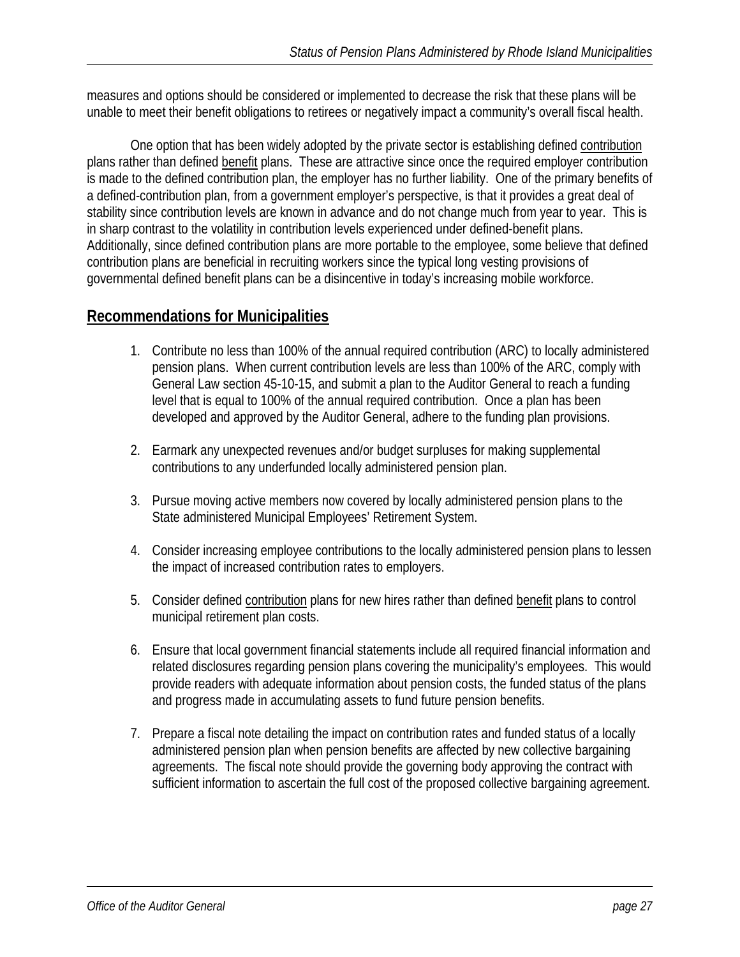measures and options should be considered or implemented to decrease the risk that these plans will be unable to meet their benefit obligations to retirees or negatively impact a community's overall fiscal health.

 One option that has been widely adopted by the private sector is establishing defined contribution plans rather than defined benefit plans. These are attractive since once the required employer contribution is made to the defined contribution plan, the employer has no further liability. One of the primary benefits of a defined-contribution plan, from a government employer's perspective, is that it provides a great deal of stability since contribution levels are known in advance and do not change much from year to year. This is in sharp contrast to the volatility in contribution levels experienced under defined-benefit plans. Additionally, since defined contribution plans are more portable to the employee, some believe that defined contribution plans are beneficial in recruiting workers since the typical long vesting provisions of governmental defined benefit plans can be a disincentive in today's increasing mobile workforce.

## **Recommendations for Municipalities**

- 1. Contribute no less than 100% of the annual required contribution (ARC) to locally administered pension plans. When current contribution levels are less than 100% of the ARC, comply with General Law section 45-10-15, and submit a plan to the Auditor General to reach a funding level that is equal to 100% of the annual required contribution. Once a plan has been developed and approved by the Auditor General, adhere to the funding plan provisions.
- 2. Earmark any unexpected revenues and/or budget surpluses for making supplemental contributions to any underfunded locally administered pension plan.
- 3. Pursue moving active members now covered by locally administered pension plans to the State administered Municipal Employees' Retirement System.
- 4. Consider increasing employee contributions to the locally administered pension plans to lessen the impact of increased contribution rates to employers.
- 5. Consider defined contribution plans for new hires rather than defined benefit plans to control municipal retirement plan costs.
- 6. Ensure that local government financial statements include all required financial information and related disclosures regarding pension plans covering the municipality's employees. This would provide readers with adequate information about pension costs, the funded status of the plans and progress made in accumulating assets to fund future pension benefits.
- 7. Prepare a fiscal note detailing the impact on contribution rates and funded status of a locally administered pension plan when pension benefits are affected by new collective bargaining agreements. The fiscal note should provide the governing body approving the contract with sufficient information to ascertain the full cost of the proposed collective bargaining agreement.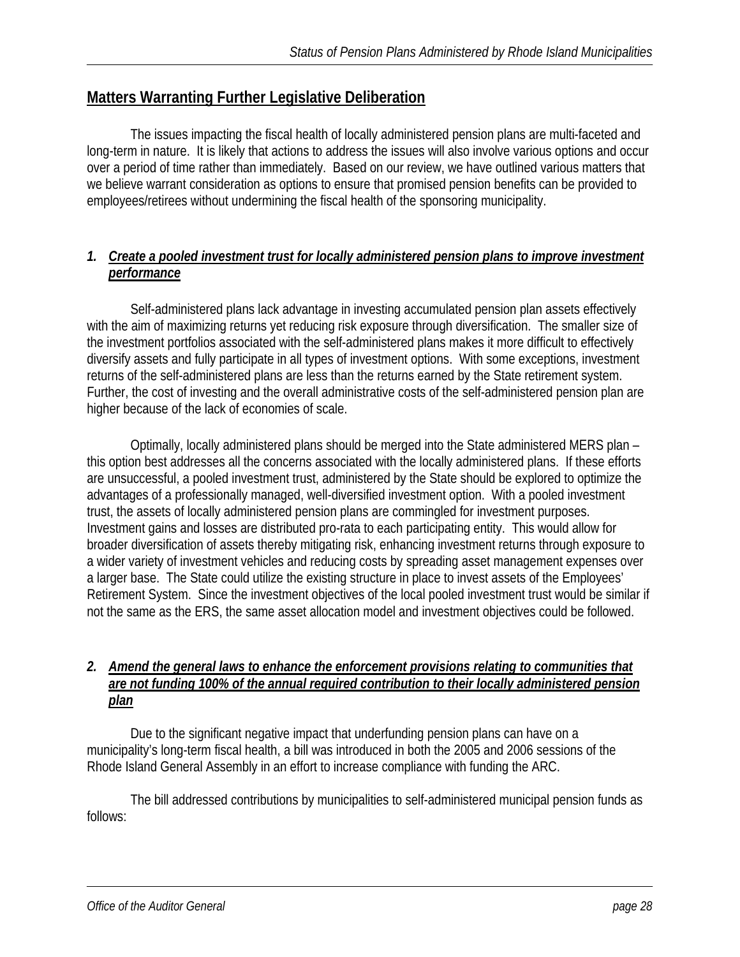## **Matters Warranting Further Legislative Deliberation**

 The issues impacting the fiscal health of locally administered pension plans are multi-faceted and long-term in nature. It is likely that actions to address the issues will also involve various options and occur over a period of time rather than immediately. Based on our review, we have outlined various matters that we believe warrant consideration as options to ensure that promised pension benefits can be provided to employees/retirees without undermining the fiscal health of the sponsoring municipality.

#### *1. Create a pooled investment trust for locally administered pension plans to improve investment performance*

 Self-administered plans lack advantage in investing accumulated pension plan assets effectively with the aim of maximizing returns yet reducing risk exposure through diversification. The smaller size of the investment portfolios associated with the self-administered plans makes it more difficult to effectively diversify assets and fully participate in all types of investment options. With some exceptions, investment returns of the self-administered plans are less than the returns earned by the State retirement system. Further, the cost of investing and the overall administrative costs of the self-administered pension plan are higher because of the lack of economies of scale.

 Optimally, locally administered plans should be merged into the State administered MERS plan – this option best addresses all the concerns associated with the locally administered plans. If these efforts are unsuccessful, a pooled investment trust, administered by the State should be explored to optimize the advantages of a professionally managed, well-diversified investment option. With a pooled investment trust, the assets of locally administered pension plans are commingled for investment purposes. Investment gains and losses are distributed pro-rata to each participating entity. This would allow for broader diversification of assets thereby mitigating risk, enhancing investment returns through exposure to a wider variety of investment vehicles and reducing costs by spreading asset management expenses over a larger base. The State could utilize the existing structure in place to invest assets of the Employees' Retirement System. Since the investment objectives of the local pooled investment trust would be similar if not the same as the ERS, the same asset allocation model and investment objectives could be followed.

#### *2. Amend the general laws to enhance the enforcement provisions relating to communities that are not funding 100% of the annual required contribution to their locally administered pension plan*

 Due to the significant negative impact that underfunding pension plans can have on a municipality's long-term fiscal health, a bill was introduced in both the 2005 and 2006 sessions of the Rhode Island General Assembly in an effort to increase compliance with funding the ARC.

 The bill addressed contributions by municipalities to self-administered municipal pension funds as follows: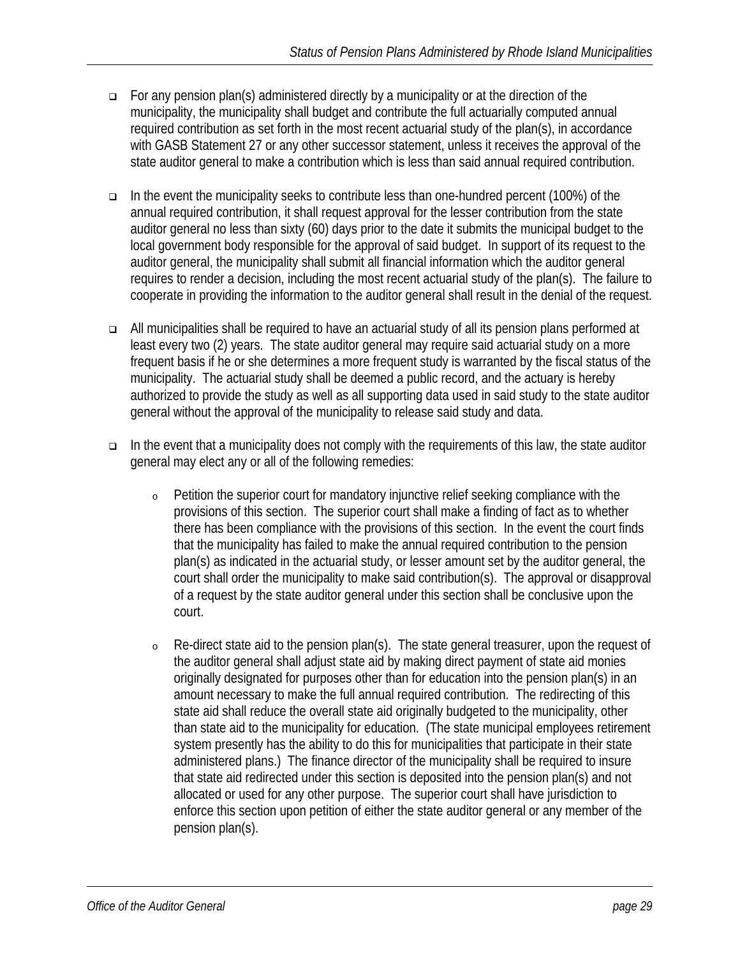- For any pension plan(s) administered directly by a municipality or at the direction of the municipality, the municipality shall budget and contribute the full actuarially computed annual required contribution as set forth in the most recent actuarial study of the plan(s), in accordance with GASB Statement 27 or any other successor statement, unless it receives the approval of the state auditor general to make a contribution which is less than said annual required contribution.
- In the event the municipality seeks to contribute less than one-hundred percent (100%) of the annual required contribution, it shall request approval for the lesser contribution from the state auditor general no less than sixty (60) days prior to the date it submits the municipal budget to the local government body responsible for the approval of said budget. In support of its request to the auditor general, the municipality shall submit all financial information which the auditor general requires to render a decision, including the most recent actuarial study of the plan(s). The failure to cooperate in providing the information to the auditor general shall result in the denial of the request.
- All municipalities shall be required to have an actuarial study of all its pension plans performed at least every two (2) years. The state auditor general may require said actuarial study on a more frequent basis if he or she determines a more frequent study is warranted by the fiscal status of the municipality. The actuarial study shall be deemed a public record, and the actuary is hereby authorized to provide the study as well as all supporting data used in said study to the state auditor general without the approval of the municipality to release said study and data.
- $\Box$  In the event that a municipality does not comply with the requirements of this law, the state auditor general may elect any or all of the following remedies:
	- <sup>o</sup> Petition the superior court for mandatory injunctive relief seeking compliance with the provisions of this section. The superior court shall make a finding of fact as to whether there has been compliance with the provisions of this section. In the event the court finds that the municipality has failed to make the annual required contribution to the pension plan(s) as indicated in the actuarial study, or lesser amount set by the auditor general, the court shall order the municipality to make said contribution(s). The approval or disapproval of a request by the state auditor general under this section shall be conclusive upon the court.
	- <sup>o</sup> Re-direct state aid to the pension plan(s). The state general treasurer, upon the request of the auditor general shall adjust state aid by making direct payment of state aid monies originally designated for purposes other than for education into the pension plan(s) in an amount necessary to make the full annual required contribution. The redirecting of this state aid shall reduce the overall state aid originally budgeted to the municipality, other than state aid to the municipality for education. (The state municipal employees retirement system presently has the ability to do this for municipalities that participate in their state administered plans.) The finance director of the municipality shall be required to insure that state aid redirected under this section is deposited into the pension plan(s) and not allocated or used for any other purpose. The superior court shall have jurisdiction to enforce this section upon petition of either the state auditor general or any member of the pension plan(s).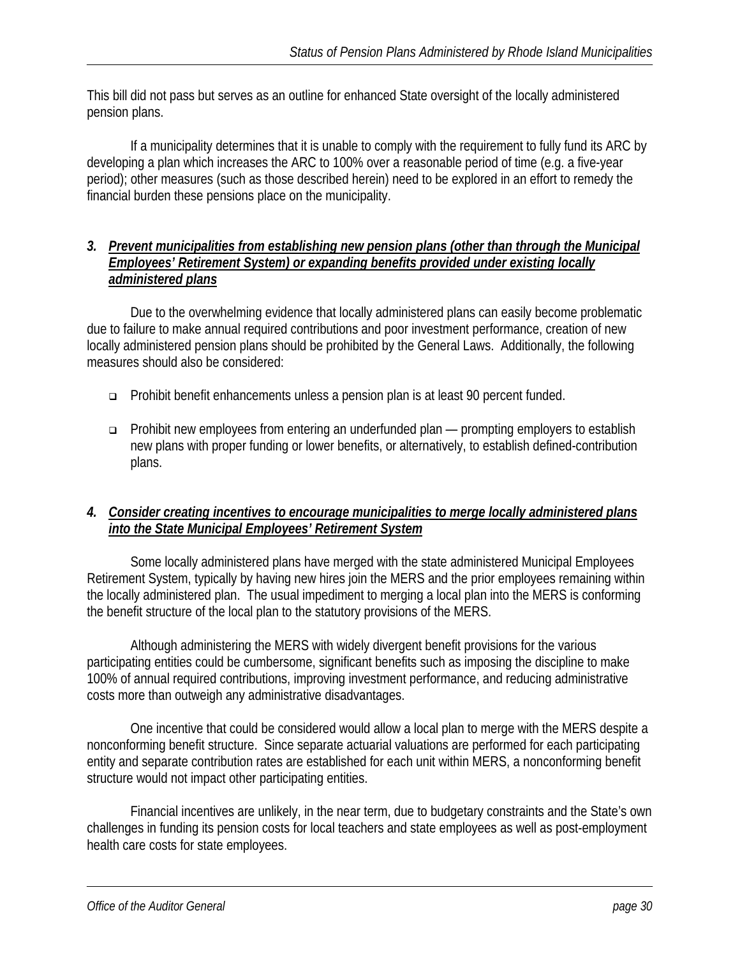This bill did not pass but serves as an outline for enhanced State oversight of the locally administered pension plans.

 If a municipality determines that it is unable to comply with the requirement to fully fund its ARC by developing a plan which increases the ARC to 100% over a reasonable period of time (e.g. a five-year period); other measures (such as those described herein) need to be explored in an effort to remedy the financial burden these pensions place on the municipality.

#### *3. Prevent municipalities from establishing new pension plans (other than through the Municipal Employees' Retirement System) or expanding benefits provided under existing locally administered plans*

 Due to the overwhelming evidence that locally administered plans can easily become problematic due to failure to make annual required contributions and poor investment performance, creation of new locally administered pension plans should be prohibited by the General Laws. Additionally, the following measures should also be considered:

- Prohibit benefit enhancements unless a pension plan is at least 90 percent funded.
- Prohibit new employees from entering an underfunded plan prompting employers to establish new plans with proper funding or lower benefits, or alternatively, to establish defined-contribution plans.

#### *4. Consider creating incentives to encourage municipalities to merge locally administered plans into the State Municipal Employees' Retirement System*

 Some locally administered plans have merged with the state administered Municipal Employees Retirement System, typically by having new hires join the MERS and the prior employees remaining within the locally administered plan. The usual impediment to merging a local plan into the MERS is conforming the benefit structure of the local plan to the statutory provisions of the MERS.

 Although administering the MERS with widely divergent benefit provisions for the various participating entities could be cumbersome, significant benefits such as imposing the discipline to make 100% of annual required contributions, improving investment performance, and reducing administrative costs more than outweigh any administrative disadvantages.

 One incentive that could be considered would allow a local plan to merge with the MERS despite a nonconforming benefit structure. Since separate actuarial valuations are performed for each participating entity and separate contribution rates are established for each unit within MERS, a nonconforming benefit structure would not impact other participating entities.

 Financial incentives are unlikely, in the near term, due to budgetary constraints and the State's own challenges in funding its pension costs for local teachers and state employees as well as post-employment health care costs for state employees.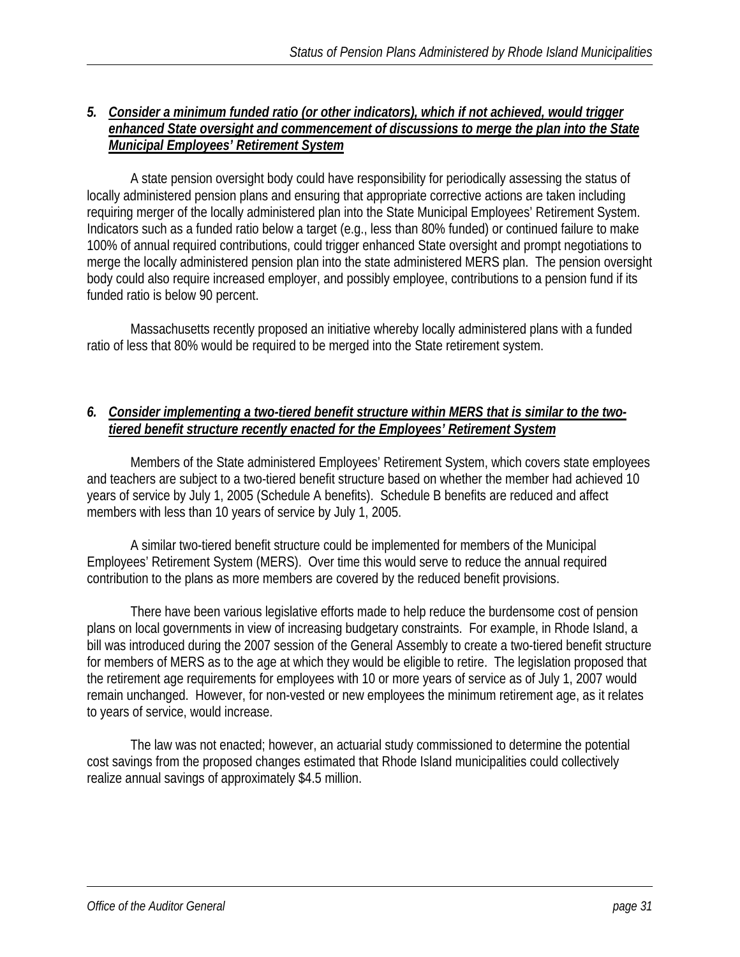#### *5. Consider a minimum funded ratio (or other indicators), which if not achieved, would trigger enhanced State oversight and commencement of discussions to merge the plan into the State Municipal Employees' Retirement System*

 A state pension oversight body could have responsibility for periodically assessing the status of locally administered pension plans and ensuring that appropriate corrective actions are taken including requiring merger of the locally administered plan into the State Municipal Employees' Retirement System. Indicators such as a funded ratio below a target (e.g., less than 80% funded) or continued failure to make 100% of annual required contributions, could trigger enhanced State oversight and prompt negotiations to merge the locally administered pension plan into the state administered MERS plan. The pension oversight body could also require increased employer, and possibly employee, contributions to a pension fund if its funded ratio is below 90 percent.

 Massachusetts recently proposed an initiative whereby locally administered plans with a funded ratio of less that 80% would be required to be merged into the State retirement system.

#### *6. Consider implementing a two-tiered benefit structure within MERS that is similar to the twotiered benefit structure recently enacted for the Employees' Retirement System*

 Members of the State administered Employees' Retirement System, which covers state employees and teachers are subject to a two-tiered benefit structure based on whether the member had achieved 10 years of service by July 1, 2005 (Schedule A benefits). Schedule B benefits are reduced and affect members with less than 10 years of service by July 1, 2005.

 A similar two-tiered benefit structure could be implemented for members of the Municipal Employees' Retirement System (MERS). Over time this would serve to reduce the annual required contribution to the plans as more members are covered by the reduced benefit provisions.

 There have been various legislative efforts made to help reduce the burdensome cost of pension plans on local governments in view of increasing budgetary constraints. For example, in Rhode Island, a bill was introduced during the 2007 session of the General Assembly to create a two-tiered benefit structure for members of MERS as to the age at which they would be eligible to retire. The legislation proposed that the retirement age requirements for employees with 10 or more years of service as of July 1, 2007 would remain unchanged. However, for non-vested or new employees the minimum retirement age, as it relates to years of service, would increase.

 The law was not enacted; however, an actuarial study commissioned to determine the potential cost savings from the proposed changes estimated that Rhode Island municipalities could collectively realize annual savings of approximately \$4.5 million.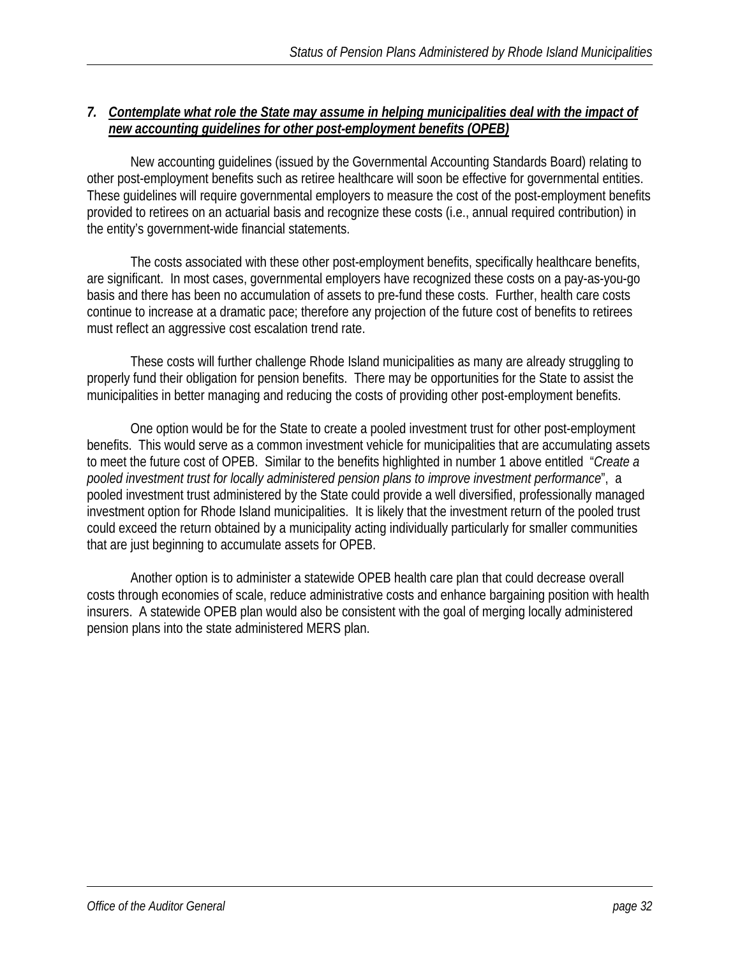#### *7. Contemplate what role the State may assume in helping municipalities deal with the impact of new accounting guidelines for other post-employment benefits (OPEB)*

 New accounting guidelines (issued by the Governmental Accounting Standards Board) relating to other post-employment benefits such as retiree healthcare will soon be effective for governmental entities. These guidelines will require governmental employers to measure the cost of the post-employment benefits provided to retirees on an actuarial basis and recognize these costs (i.e., annual required contribution) in the entity's government-wide financial statements.

 The costs associated with these other post-employment benefits, specifically healthcare benefits, are significant. In most cases, governmental employers have recognized these costs on a pay-as-you-go basis and there has been no accumulation of assets to pre-fund these costs. Further, health care costs continue to increase at a dramatic pace; therefore any projection of the future cost of benefits to retirees must reflect an aggressive cost escalation trend rate.

 These costs will further challenge Rhode Island municipalities as many are already struggling to properly fund their obligation for pension benefits. There may be opportunities for the State to assist the municipalities in better managing and reducing the costs of providing other post-employment benefits.

 One option would be for the State to create a pooled investment trust for other post-employment benefits. This would serve as a common investment vehicle for municipalities that are accumulating assets to meet the future cost of OPEB. Similar to the benefits highlighted in number 1 above entitled "*Create a pooled investment trust for locally administered pension plans to improve investment performance*", a pooled investment trust administered by the State could provide a well diversified, professionally managed investment option for Rhode Island municipalities. It is likely that the investment return of the pooled trust could exceed the return obtained by a municipality acting individually particularly for smaller communities that are just beginning to accumulate assets for OPEB.

 Another option is to administer a statewide OPEB health care plan that could decrease overall costs through economies of scale, reduce administrative costs and enhance bargaining position with health insurers. A statewide OPEB plan would also be consistent with the goal of merging locally administered pension plans into the state administered MERS plan.